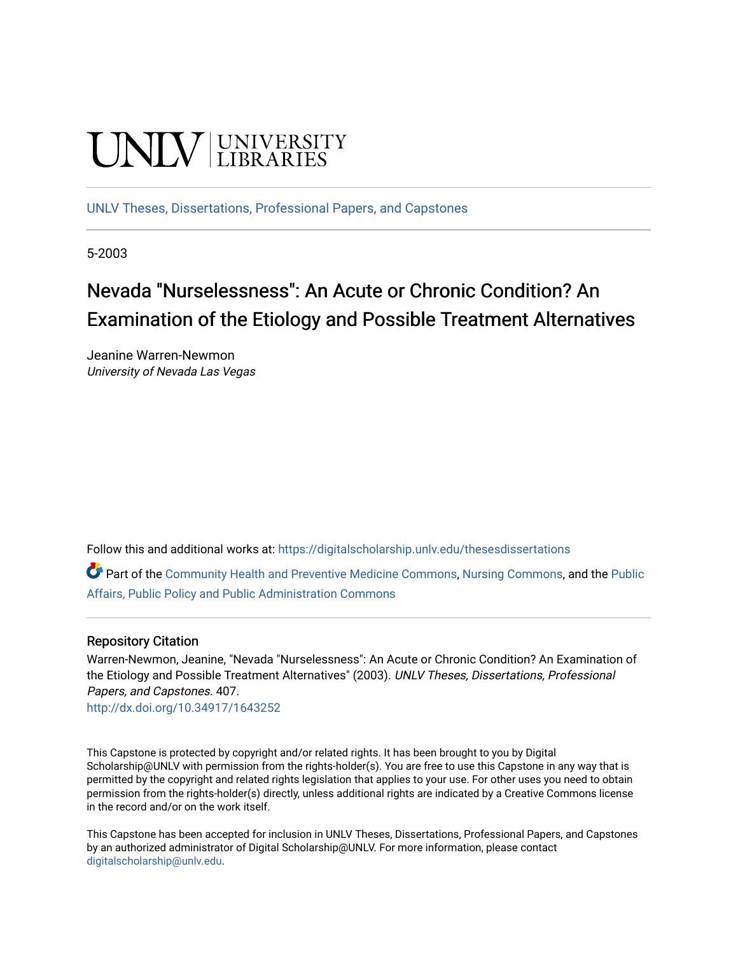# **INIVERSITY**

[UNLV Theses, Dissertations, Professional Papers, and Capstones](https://digitalscholarship.unlv.edu/thesesdissertations)

5-2003

# Nevada "Nurselessness": An Acute or Chronic Condition? An Examination of the Etiology and Possible Treatment Alternatives

Jeanine Warren-Newmon University of Nevada Las Vegas

Follow this and additional works at: [https://digitalscholarship.unlv.edu/thesesdissertations](https://digitalscholarship.unlv.edu/thesesdissertations?utm_source=digitalscholarship.unlv.edu%2Fthesesdissertations%2F407&utm_medium=PDF&utm_campaign=PDFCoverPages)

Part of the [Community Health and Preventive Medicine Commons](http://network.bepress.com/hgg/discipline/744?utm_source=digitalscholarship.unlv.edu%2Fthesesdissertations%2F407&utm_medium=PDF&utm_campaign=PDFCoverPages), [Nursing Commons](http://network.bepress.com/hgg/discipline/718?utm_source=digitalscholarship.unlv.edu%2Fthesesdissertations%2F407&utm_medium=PDF&utm_campaign=PDFCoverPages), and the Public [Affairs, Public Policy and Public Administration Commons](http://network.bepress.com/hgg/discipline/393?utm_source=digitalscholarship.unlv.edu%2Fthesesdissertations%2F407&utm_medium=PDF&utm_campaign=PDFCoverPages)

# Repository Citation

Warren-Newmon, Jeanine, "Nevada "Nurselessness": An Acute or Chronic Condition? An Examination of the Etiology and Possible Treatment Alternatives" (2003). UNLV Theses, Dissertations, Professional Papers, and Capstones. 407.

<http://dx.doi.org/10.34917/1643252>

This Capstone is protected by copyright and/or related rights. It has been brought to you by Digital Scholarship@UNLV with permission from the rights-holder(s). You are free to use this Capstone in any way that is permitted by the copyright and related rights legislation that applies to your use. For other uses you need to obtain permission from the rights-holder(s) directly, unless additional rights are indicated by a Creative Commons license in the record and/or on the work itself.

This Capstone has been accepted for inclusion in UNLV Theses, Dissertations, Professional Papers, and Capstones by an authorized administrator of Digital Scholarship@UNLV. For more information, please contact [digitalscholarship@unlv.edu](mailto:digitalscholarship@unlv.edu).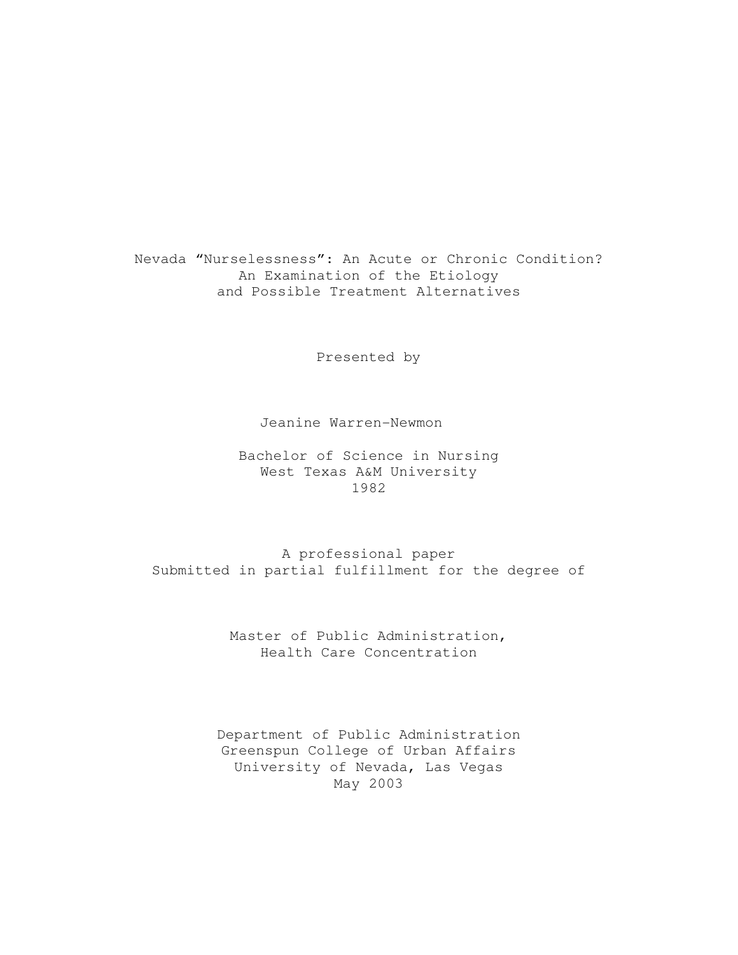Nevada "Nurselessness": An Acute or Chronic Condition? An Examination of the Etiology and Possible Treatment Alternatives

Presented by

#### Jeanine Warren-Newmon

Bachelor of Science in Nursing West Texas A&M University 1982

A professional paper Submitted in partial fulfillment for the degree of

> Master of Public Administration, Health Care Concentration

Department of Public Administration Greenspun College of Urban Affairs University of Nevada, Las Vegas May 2003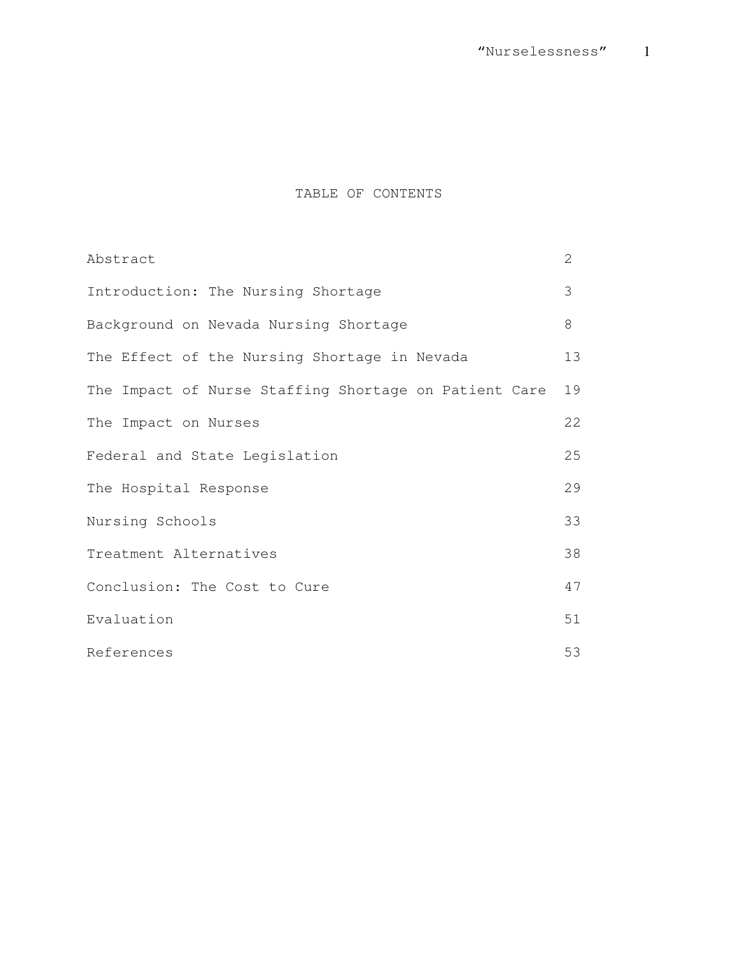# TABLE OF CONTENTS

| Abstract                                              | 2  |  |  |
|-------------------------------------------------------|----|--|--|
| Introduction: The Nursing Shortage                    | 3  |  |  |
| Background on Nevada Nursing Shortage                 | 8  |  |  |
| The Effect of the Nursing Shortage in Nevada          | 13 |  |  |
| The Impact of Nurse Staffing Shortage on Patient Care | 19 |  |  |
| The Impact on Nurses                                  | 22 |  |  |
| Federal and State Legislation                         |    |  |  |
| The Hospital Response                                 |    |  |  |
| Nursing Schools                                       |    |  |  |
| Treatment Alternatives                                |    |  |  |
| Conclusion: The Cost to Cure                          |    |  |  |
| Evaluation                                            |    |  |  |
| References                                            | 53 |  |  |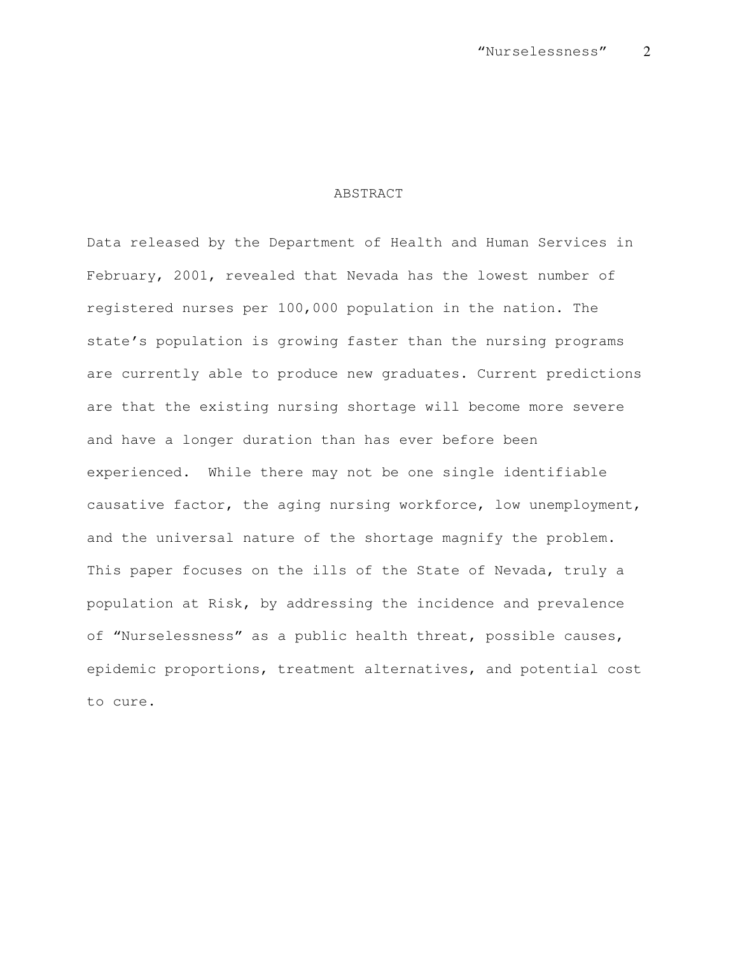# ABSTRACT

Data released by the Department of Health and Human Services in February, 2001, revealed that Nevada has the lowest number of registered nurses per 100,000 population in the nation. The state's population is growing faster than the nursing programs are currently able to produce new graduates. Current predictions are that the existing nursing shortage will become more severe and have a longer duration than has ever before been experienced. While there may not be one single identifiable causative factor, the aging nursing workforce, low unemployment, and the universal nature of the shortage magnify the problem. This paper focuses on the ills of the State of Nevada, truly a population at Risk, by addressing the incidence and prevalence of "Nurselessness" as a public health threat, possible causes, epidemic proportions, treatment alternatives, and potential cost to cure.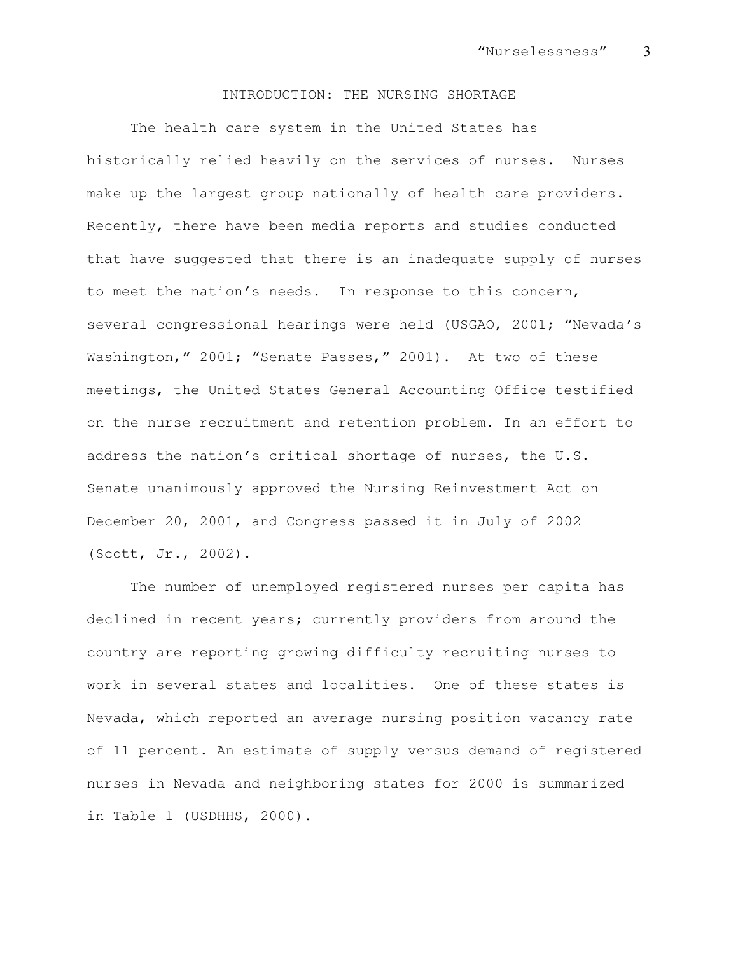#### INTRODUCTION: THE NURSING SHORTAGE

The health care system in the United States has historically relied heavily on the services of nurses. Nurses make up the largest group nationally of health care providers. Recently, there have been media reports and studies conducted that have suggested that there is an inadequate supply of nurses to meet the nation's needs. In response to this concern, several congressional hearings were held (USGAO, 2001; "Nevada's Washington," 2001; "Senate Passes," 2001). At two of these meetings, the United States General Accounting Office testified on the nurse recruitment and retention problem. In an effort to address the nation's critical shortage of nurses, the U.S. Senate unanimously approved the Nursing Reinvestment Act on December 20, 2001, and Congress passed it in July of 2002 (Scott, Jr., 2002).

The number of unemployed registered nurses per capita has declined in recent years; currently providers from around the country are reporting growing difficulty recruiting nurses to work in several states and localities. One of these states is Nevada, which reported an average nursing position vacancy rate of 11 percent. An estimate of supply versus demand of registered nurses in Nevada and neighboring states for 2000 is summarized in Table 1 (USDHHS, 2000).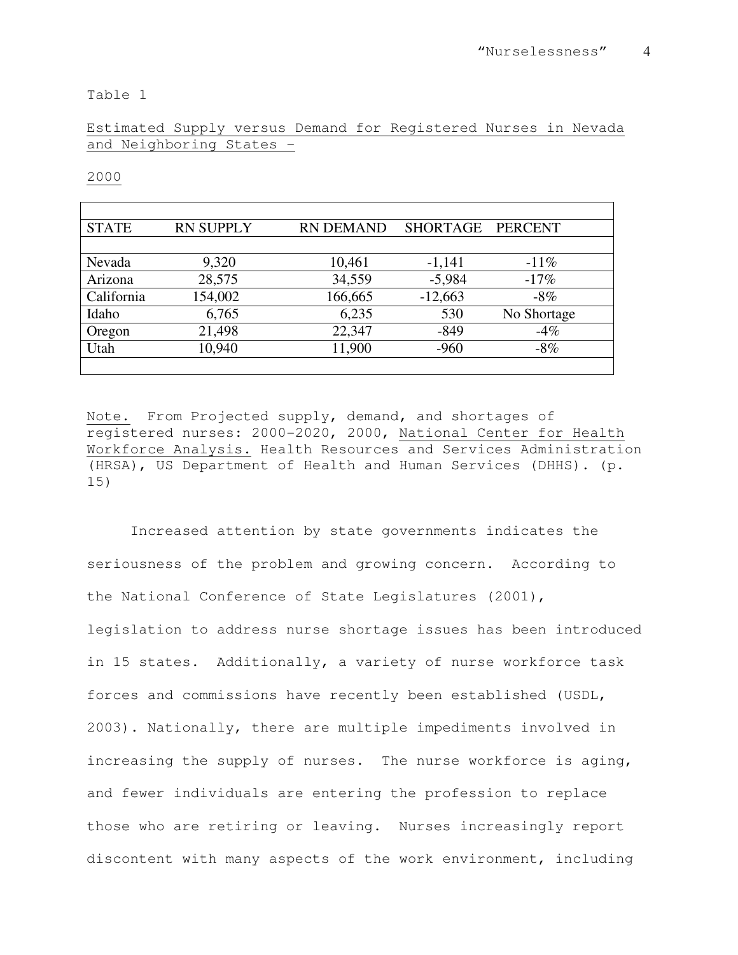Table 1

# Estimated Supply versus Demand for Registered Nurses in Nevada and Neighboring States –

2000

| <b>STATE</b> | <b>RN SUPPLY</b> | <b>RN DEMAND</b> | SHORTAGE PERCENT |             |
|--------------|------------------|------------------|------------------|-------------|
|              |                  |                  |                  |             |
| Nevada       | 9,320            | 10,461           | $-1,141$         | $-11\%$     |
| Arizona      | 28,575           | 34,559           | $-5,984$         | $-17%$      |
| California   | 154,002          | 166,665          | $-12,663$        | $-8\%$      |
| Idaho        | 6,765            | 6,235            | 530              | No Shortage |
| Oregon       | 21,498           | 22,347           | $-849$           | $-4%$       |
| Utah         | 10,940           | 11,900           | $-960$           | $-8\%$      |
|              |                  |                  |                  |             |

Note. From Projected supply, demand, and shortages of registered nurses: 2000-2020, 2000, National Center for Health Workforce Analysis. Health Resources and Services Administration (HRSA), US Department of Health and Human Services (DHHS). (p. 15)

Increased attention by state governments indicates the seriousness of the problem and growing concern. According to the National Conference of State Legislatures (2001), legislation to address nurse shortage issues has been introduced in 15 states. Additionally, a variety of nurse workforce task forces and commissions have recently been established (USDL, 2003). Nationally, there are multiple impediments involved in increasing the supply of nurses. The nurse workforce is aging, and fewer individuals are entering the profession to replace those who are retiring or leaving. Nurses increasingly report discontent with many aspects of the work environment, including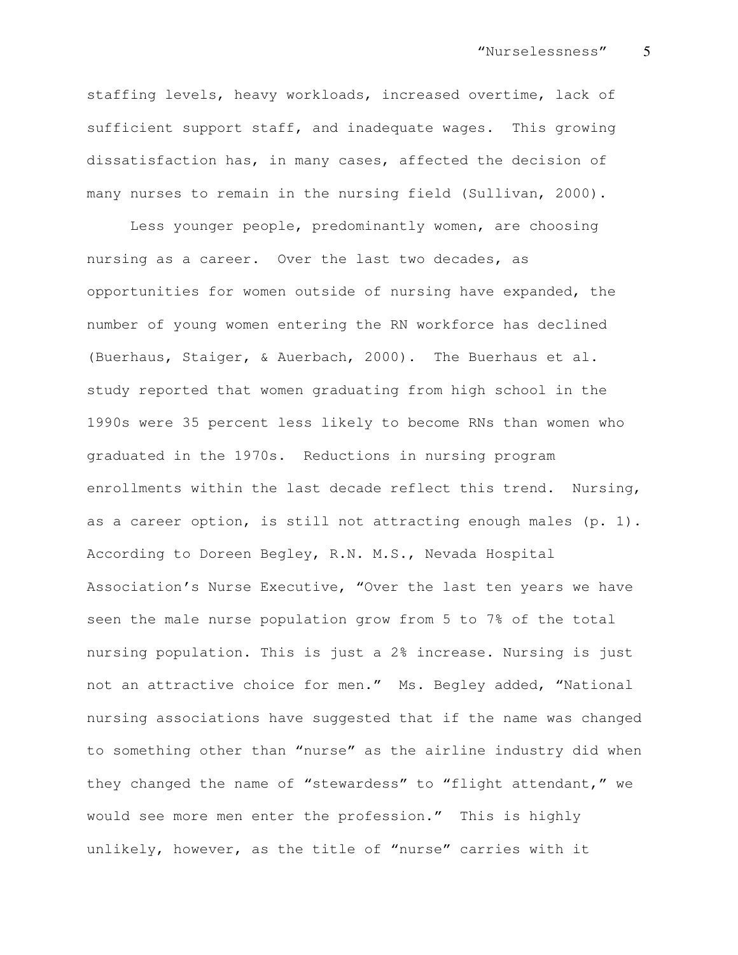staffing levels, heavy workloads, increased overtime, lack of sufficient support staff, and inadequate wages. This growing dissatisfaction has, in many cases, affected the decision of many nurses to remain in the nursing field (Sullivan, 2000).

Less younger people, predominantly women, are choosing nursing as a career. Over the last two decades, as opportunities for women outside of nursing have expanded, the number of young women entering the RN workforce has declined (Buerhaus, Staiger, & Auerbach, 2000). The Buerhaus et al. study reported that women graduating from high school in the 1990s were 35 percent less likely to become RNs than women who graduated in the 1970s. Reductions in nursing program enrollments within the last decade reflect this trend. Nursing, as a career option, is still not attracting enough males  $(p. 1)$ . According to Doreen Begley, R.N. M.S., Nevada Hospital Association's Nurse Executive, "Over the last ten years we have seen the male nurse population grow from 5 to 7% of the total nursing population. This is just a 2% increase. Nursing is just not an attractive choice for men." Ms. Begley added, "National nursing associations have suggested that if the name was changed to something other than "nurse" as the airline industry did when they changed the name of "stewardess" to "flight attendant," we would see more men enter the profession." This is highly unlikely, however, as the title of "nurse" carries with it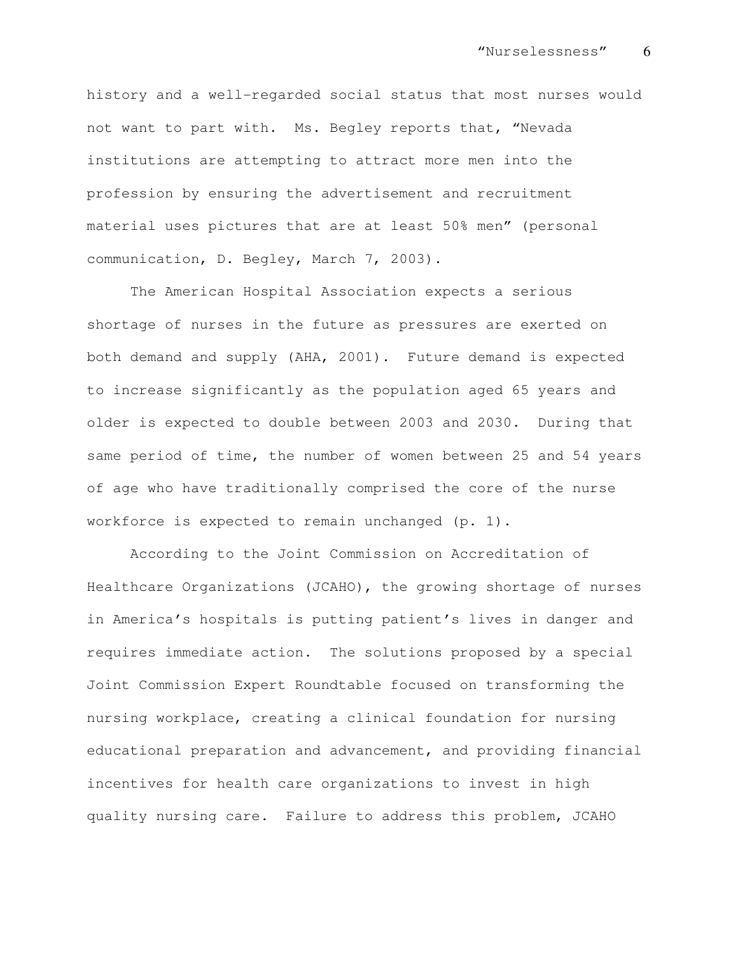history and a well-regarded social status that most nurses would not want to part with. Ms. Begley reports that, "Nevada institutions are attempting to attract more men into the profession by ensuring the advertisement and recruitment material uses pictures that are at least 50% men" (personal communication, D. Begley, March 7, 2003).

The American Hospital Association expects a serious shortage of nurses in the future as pressures are exerted on both demand and supply (AHA, 2001). Future demand is expected to increase significantly as the population aged 65 years and older is expected to double between 2003 and 2030. During that same period of time, the number of women between 25 and 54 years of age who have traditionally comprised the core of the nurse workforce is expected to remain unchanged  $(p. 1)$ .

According to the Joint Commission on Accreditation of Healthcare Organizations (JCAHO), the growing shortage of nurses in America's hospitals is putting patient's lives in danger and requires immediate action. The solutions proposed by a special Joint Commission Expert Roundtable focused on transforming the nursing workplace, creating a clinical foundation for nursing educational preparation and advancement, and providing financial incentives for health care organizations to invest in high quality nursing care. Failure to address this problem, JCAHO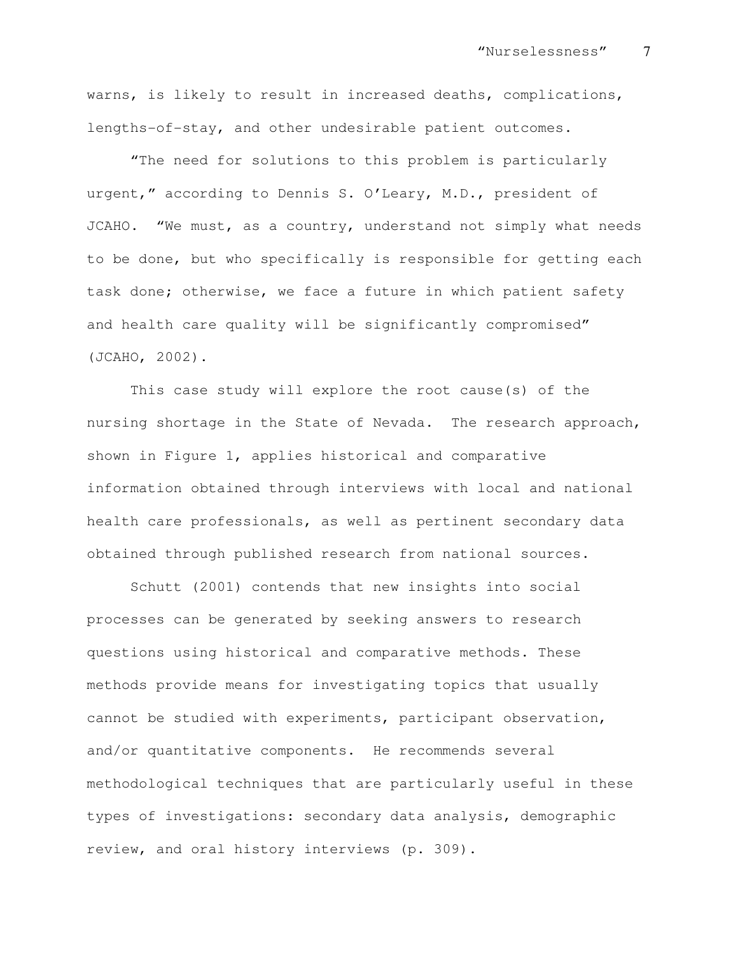warns, is likely to result in increased deaths, complications, lengths-of-stay, and other undesirable patient outcomes.

"The need for solutions to this problem is particularly urgent," according to Dennis S. O'Leary, M.D., president of JCAHO. "We must, as a country, understand not simply what needs to be done, but who specifically is responsible for getting each task done; otherwise, we face a future in which patient safety and health care quality will be significantly compromised" (JCAHO, 2002).

This case study will explore the root cause(s) of the nursing shortage in the State of Nevada. The research approach, shown in Figure 1, applies historical and comparative information obtained through interviews with local and national health care professionals, as well as pertinent secondary data obtained through published research from national sources.

Schutt (2001) contends that new insights into social processes can be generated by seeking answers to research questions using historical and comparative methods. These methods provide means for investigating topics that usually cannot be studied with experiments, participant observation, and/or quantitative components. He recommends several methodological techniques that are particularly useful in these types of investigations: secondary data analysis, demographic review, and oral history interviews (p. 309).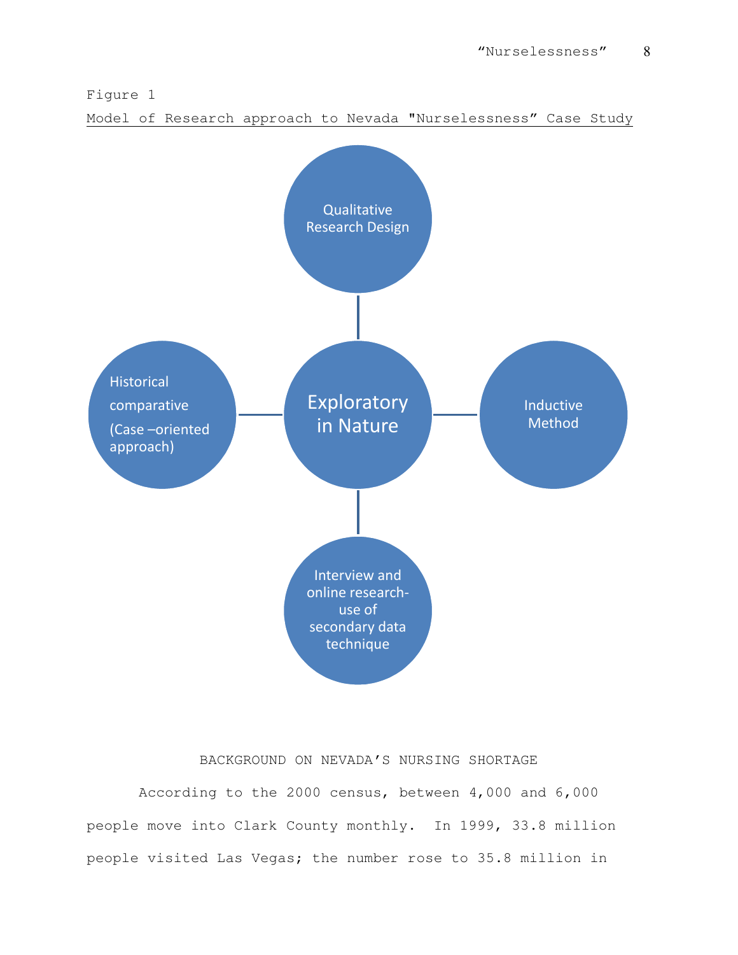

Model of Research approach to Nevada "Nurselessness" Case Study



# BACKGROUND ON NEVADA'S NURSING SHORTAGE

 According to the 2000 census, between 4,000 and 6,000 people move into Clark County monthly. In 1999, 33.8 million people visited Las Vegas; the number rose to 35.8 million in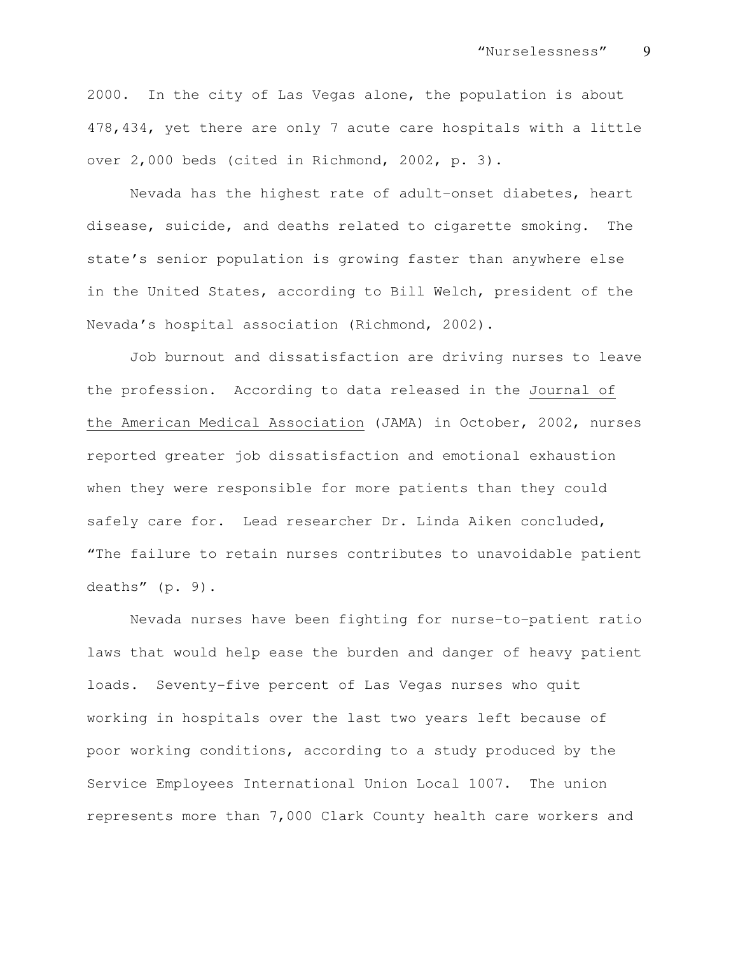2000. In the city of Las Vegas alone, the population is about 478,434, yet there are only 7 acute care hospitals with a little over 2,000 beds (cited in Richmond, 2002, p. 3).

Nevada has the highest rate of adult-onset diabetes, heart disease, suicide, and deaths related to cigarette smoking. The state's senior population is growing faster than anywhere else in the United States, according to Bill Welch, president of the Nevada's hospital association (Richmond, 2002).

Job burnout and dissatisfaction are driving nurses to leave the profession. According to data released in the Journal of the American Medical Association (JAMA) in October, 2002, nurses reported greater job dissatisfaction and emotional exhaustion when they were responsible for more patients than they could safely care for. Lead researcher Dr. Linda Aiken concluded, "The failure to retain nurses contributes to unavoidable patient deaths" (p. 9).

Nevada nurses have been fighting for nurse-to-patient ratio laws that would help ease the burden and danger of heavy patient loads. Seventy-five percent of Las Vegas nurses who quit working in hospitals over the last two years left because of poor working conditions, according to a study produced by the Service Employees International Union Local 1007. The union represents more than 7,000 Clark County health care workers and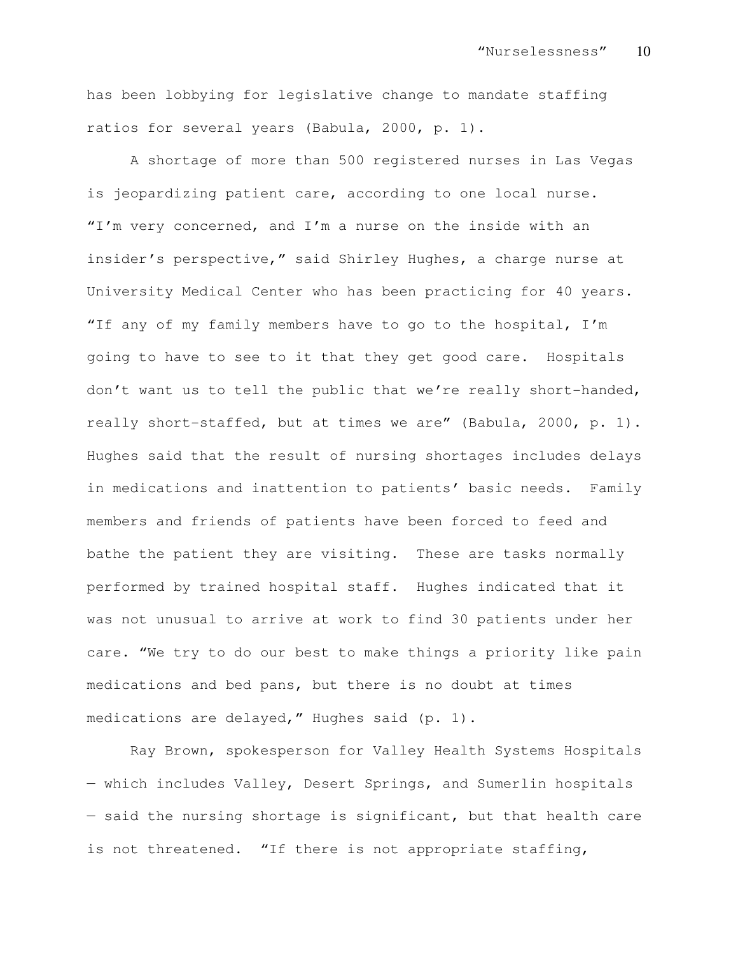has been lobbying for legislative change to mandate staffing ratios for several years (Babula, 2000, p. 1).

A shortage of more than 500 registered nurses in Las Vegas is jeopardizing patient care, according to one local nurse. "I'm very concerned, and I'm a nurse on the inside with an insider's perspective," said Shirley Hughes, a charge nurse at University Medical Center who has been practicing for 40 years. "If any of my family members have to go to the hospital, I'm going to have to see to it that they get good care. Hospitals don't want us to tell the public that we're really short-handed, really short-staffed, but at times we are" (Babula, 2000, p. 1). Hughes said that the result of nursing shortages includes delays in medications and inattention to patients' basic needs. Family members and friends of patients have been forced to feed and bathe the patient they are visiting. These are tasks normally performed by trained hospital staff. Hughes indicated that it was not unusual to arrive at work to find 30 patients under her care. "We try to do our best to make things a priority like pain medications and bed pans, but there is no doubt at times medications are delayed," Hughes said (p. 1).

Ray Brown, spokesperson for Valley Health Systems Hospitals — which includes Valley, Desert Springs, and Sumerlin hospitals — said the nursing shortage is significant, but that health care is not threatened. "If there is not appropriate staffing,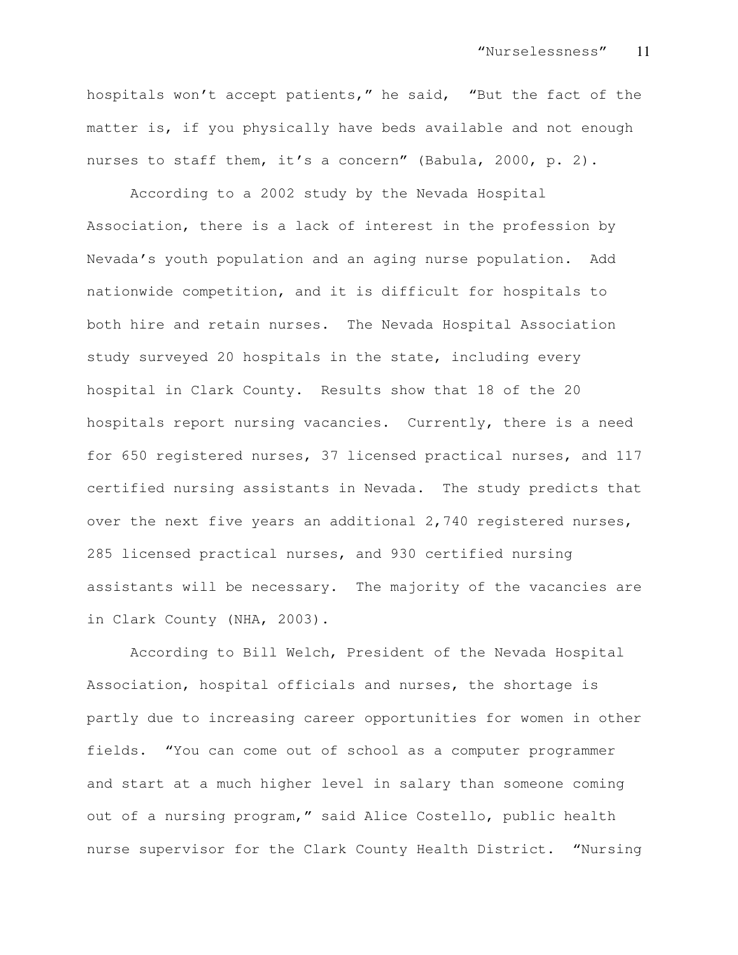hospitals won't accept patients," he said, "But the fact of the matter is, if you physically have beds available and not enough nurses to staff them, it's a concern" (Babula, 2000, p. 2).

According to a 2002 study by the Nevada Hospital Association, there is a lack of interest in the profession by Nevada's youth population and an aging nurse population. Add nationwide competition, and it is difficult for hospitals to both hire and retain nurses. The Nevada Hospital Association study surveyed 20 hospitals in the state, including every hospital in Clark County. Results show that 18 of the 20 hospitals report nursing vacancies. Currently, there is a need for 650 registered nurses, 37 licensed practical nurses, and 117 certified nursing assistants in Nevada. The study predicts that over the next five years an additional 2,740 registered nurses, 285 licensed practical nurses, and 930 certified nursing assistants will be necessary. The majority of the vacancies are in Clark County (NHA, 2003).

According to Bill Welch, President of the Nevada Hospital Association, hospital officials and nurses, the shortage is partly due to increasing career opportunities for women in other fields. "You can come out of school as a computer programmer and start at a much higher level in salary than someone coming out of a nursing program," said Alice Costello, public health nurse supervisor for the Clark County Health District. "Nursing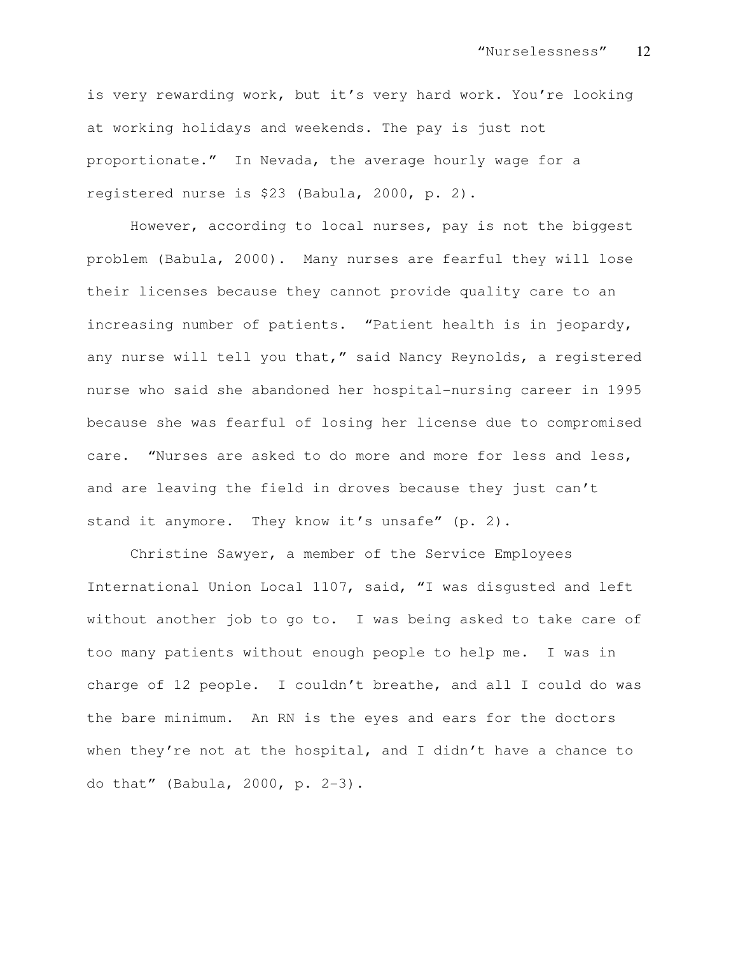is very rewarding work, but it's very hard work. You're looking at working holidays and weekends. The pay is just not proportionate." In Nevada, the average hourly wage for a registered nurse is \$23 (Babula, 2000, p. 2).

However, according to local nurses, pay is not the biggest problem (Babula, 2000). Many nurses are fearful they will lose their licenses because they cannot provide quality care to an increasing number of patients. "Patient health is in jeopardy, any nurse will tell you that," said Nancy Reynolds, a registered nurse who said she abandoned her hospital-nursing career in 1995 because she was fearful of losing her license due to compromised care. "Nurses are asked to do more and more for less and less, and are leaving the field in droves because they just can't stand it anymore. They know it's unsafe" (p. 2).

Christine Sawyer, a member of the Service Employees International Union Local 1107, said, "I was disgusted and left without another job to go to. I was being asked to take care of too many patients without enough people to help me. I was in charge of 12 people. I couldn't breathe, and all I could do was the bare minimum. An RN is the eyes and ears for the doctors when they're not at the hospital, and I didn't have a chance to do that" (Babula, 2000, p. 2-3).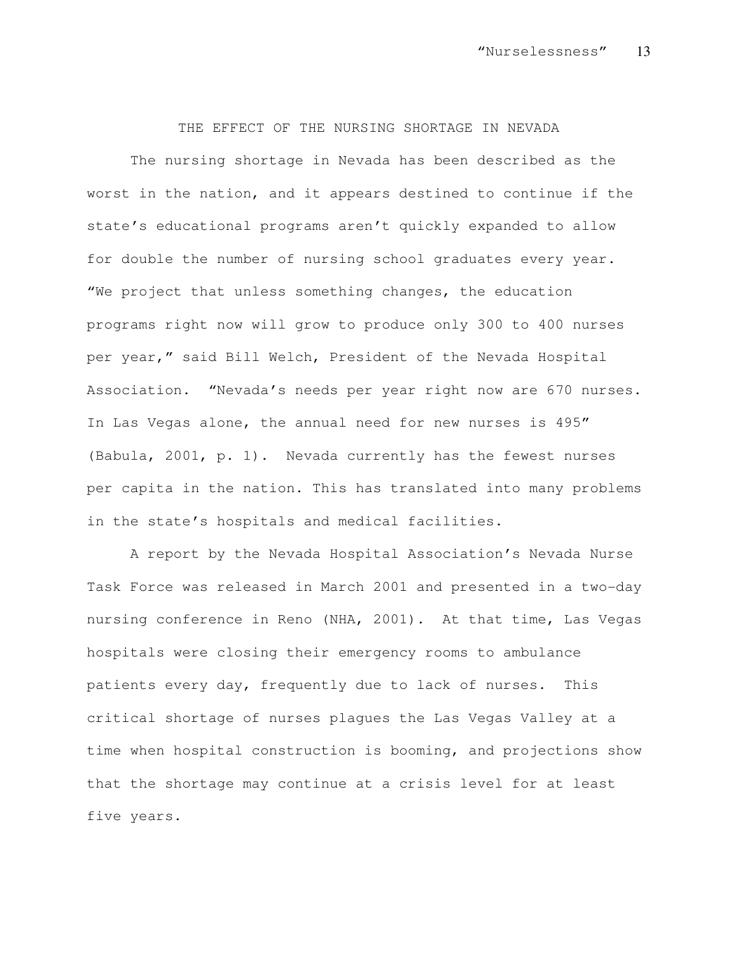THE EFFECT OF THE NURSING SHORTAGE IN NEVADA

The nursing shortage in Nevada has been described as the worst in the nation, and it appears destined to continue if the state's educational programs aren't quickly expanded to allow for double the number of nursing school graduates every year. "We project that unless something changes, the education programs right now will grow to produce only 300 to 400 nurses per year," said Bill Welch, President of the Nevada Hospital Association. "Nevada's needs per year right now are 670 nurses. In Las Vegas alone, the annual need for new nurses is 495" (Babula, 2001, p. 1). Nevada currently has the fewest nurses per capita in the nation. This has translated into many problems in the state's hospitals and medical facilities.

A report by the Nevada Hospital Association's Nevada Nurse Task Force was released in March 2001 and presented in a two-day nursing conference in Reno (NHA, 2001). At that time, Las Vegas hospitals were closing their emergency rooms to ambulance patients every day, frequently due to lack of nurses. This critical shortage of nurses plagues the Las Vegas Valley at a time when hospital construction is booming, and projections show that the shortage may continue at a crisis level for at least five years.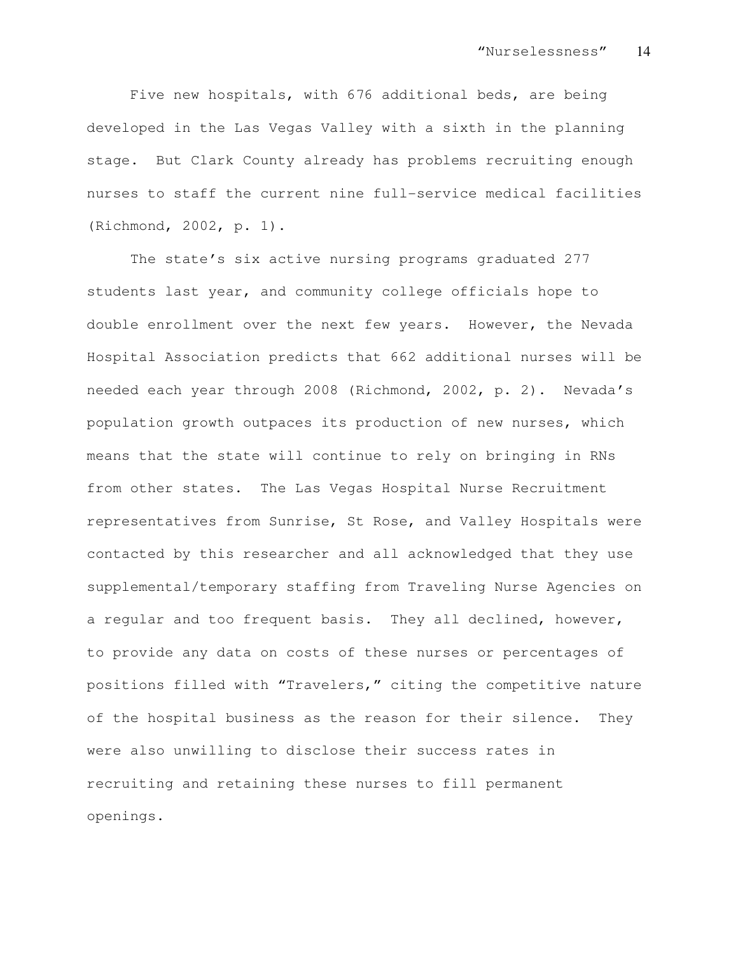Five new hospitals, with 676 additional beds, are being developed in the Las Vegas Valley with a sixth in the planning stage. But Clark County already has problems recruiting enough nurses to staff the current nine full-service medical facilities (Richmond, 2002, p. 1).

The state's six active nursing programs graduated 277 students last year, and community college officials hope to double enrollment over the next few years. However, the Nevada Hospital Association predicts that 662 additional nurses will be needed each year through 2008 (Richmond, 2002, p. 2). Nevada's population growth outpaces its production of new nurses, which means that the state will continue to rely on bringing in RNs from other states. The Las Vegas Hospital Nurse Recruitment representatives from Sunrise, St Rose, and Valley Hospitals were contacted by this researcher and all acknowledged that they use supplemental/temporary staffing from Traveling Nurse Agencies on a regular and too frequent basis. They all declined, however, to provide any data on costs of these nurses or percentages of positions filled with "Travelers," citing the competitive nature of the hospital business as the reason for their silence. They were also unwilling to disclose their success rates in recruiting and retaining these nurses to fill permanent openings.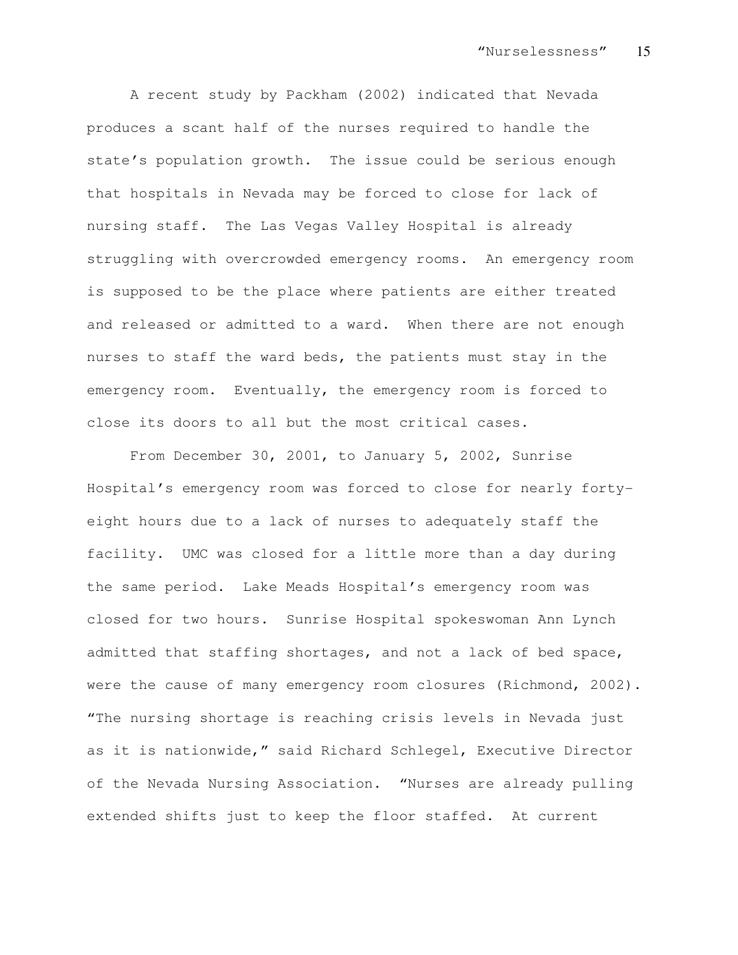A recent study by Packham (2002) indicated that Nevada produces a scant half of the nurses required to handle the state's population growth. The issue could be serious enough that hospitals in Nevada may be forced to close for lack of nursing staff. The Las Vegas Valley Hospital is already struggling with overcrowded emergency rooms. An emergency room is supposed to be the place where patients are either treated and released or admitted to a ward. When there are not enough nurses to staff the ward beds, the patients must stay in the emergency room. Eventually, the emergency room is forced to close its doors to all but the most critical cases.

From December 30, 2001, to January 5, 2002, Sunrise Hospital's emergency room was forced to close for nearly fortyeight hours due to a lack of nurses to adequately staff the facility. UMC was closed for a little more than a day during the same period. Lake Meads Hospital's emergency room was closed for two hours. Sunrise Hospital spokeswoman Ann Lynch admitted that staffing shortages, and not a lack of bed space, were the cause of many emergency room closures (Richmond, 2002). "The nursing shortage is reaching crisis levels in Nevada just as it is nationwide," said Richard Schlegel, Executive Director of the Nevada Nursing Association. "Nurses are already pulling extended shifts just to keep the floor staffed. At current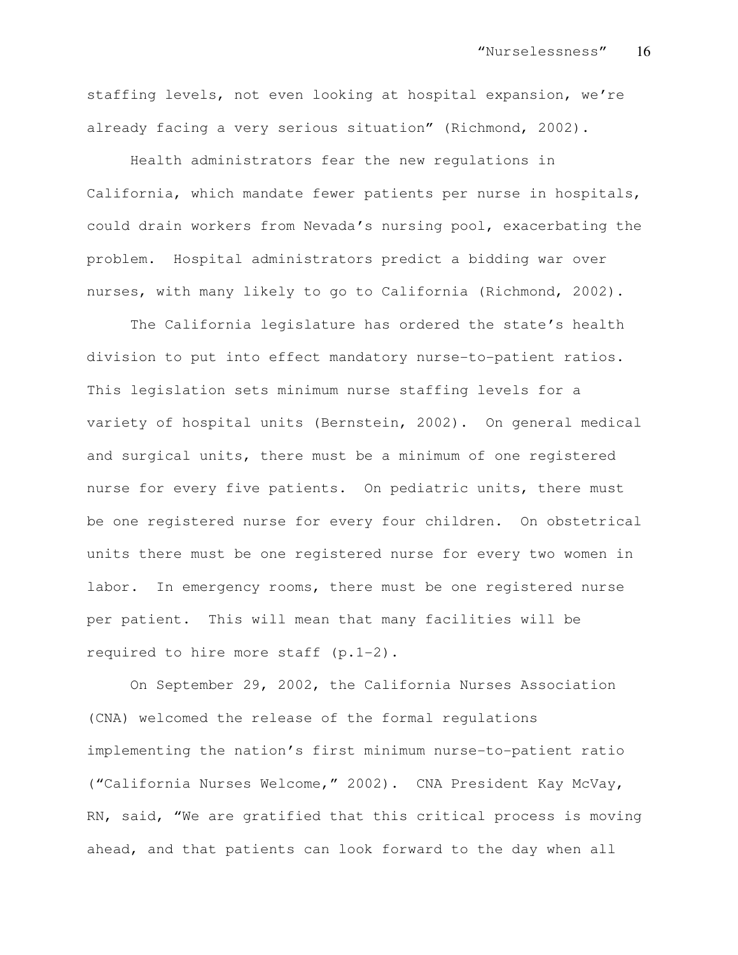staffing levels, not even looking at hospital expansion, we're already facing a very serious situation" (Richmond, 2002).

Health administrators fear the new regulations in California, which mandate fewer patients per nurse in hospitals, could drain workers from Nevada's nursing pool, exacerbating the problem. Hospital administrators predict a bidding war over nurses, with many likely to go to California (Richmond, 2002).

The California legislature has ordered the state's health division to put into effect mandatory nurse-to-patient ratios. This legislation sets minimum nurse staffing levels for a variety of hospital units (Bernstein, 2002). On general medical and surgical units, there must be a minimum of one registered nurse for every five patients. On pediatric units, there must be one registered nurse for every four children. On obstetrical units there must be one registered nurse for every two women in labor. In emergency rooms, there must be one registered nurse per patient. This will mean that many facilities will be required to hire more staff (p.1-2).

On September 29, 2002, the California Nurses Association (CNA) welcomed the release of the formal regulations implementing the nation's first minimum nurse-to-patient ratio ("California Nurses Welcome," 2002). CNA President Kay McVay, RN, said, "We are gratified that this critical process is moving ahead, and that patients can look forward to the day when all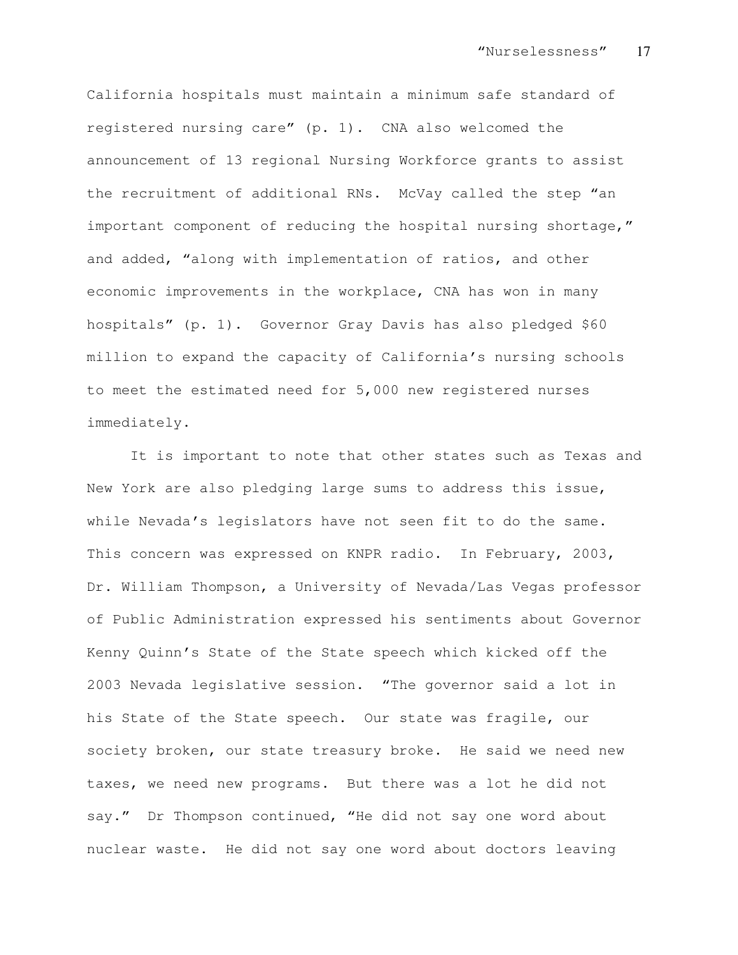California hospitals must maintain a minimum safe standard of registered nursing care" (p. 1). CNA also welcomed the announcement of 13 regional Nursing Workforce grants to assist the recruitment of additional RNs. McVay called the step "an important component of reducing the hospital nursing shortage," and added, "along with implementation of ratios, and other economic improvements in the workplace, CNA has won in many hospitals" (p. 1). Governor Gray Davis has also pledged \$60 million to expand the capacity of California's nursing schools to meet the estimated need for 5,000 new registered nurses immediately.

It is important to note that other states such as Texas and New York are also pledging large sums to address this issue, while Nevada's legislators have not seen fit to do the same. This concern was expressed on KNPR radio. In February, 2003, Dr. William Thompson, a University of Nevada/Las Vegas professor of Public Administration expressed his sentiments about Governor Kenny Quinn's State of the State speech which kicked off the 2003 Nevada legislative session. "The governor said a lot in his State of the State speech. Our state was fragile, our society broken, our state treasury broke. He said we need new taxes, we need new programs. But there was a lot he did not say." Dr Thompson continued, "He did not say one word about nuclear waste. He did not say one word about doctors leaving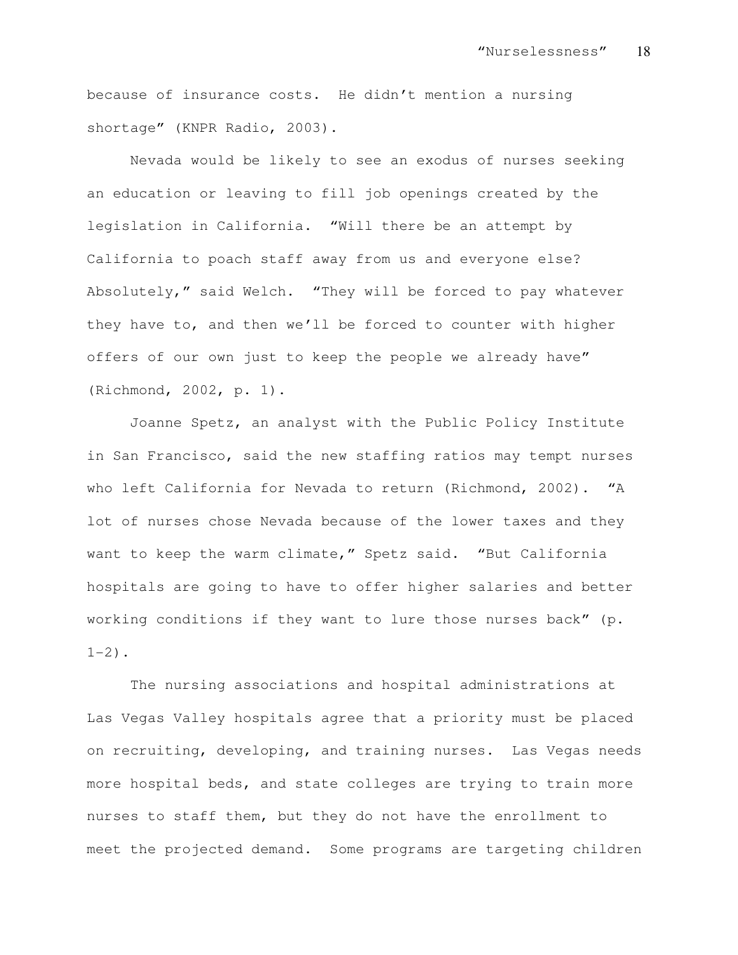because of insurance costs. He didn't mention a nursing shortage" (KNPR Radio, 2003).

Nevada would be likely to see an exodus of nurses seeking an education or leaving to fill job openings created by the legislation in California. "Will there be an attempt by California to poach staff away from us and everyone else? Absolutely," said Welch. "They will be forced to pay whatever they have to, and then we'll be forced to counter with higher offers of our own just to keep the people we already have" (Richmond, 2002, p. 1).

Joanne Spetz, an analyst with the Public Policy Institute in San Francisco, said the new staffing ratios may tempt nurses who left California for Nevada to return (Richmond, 2002). "A lot of nurses chose Nevada because of the lower taxes and they want to keep the warm climate," Spetz said. "But California hospitals are going to have to offer higher salaries and better working conditions if they want to lure those nurses back" (p.  $1-2)$ .

The nursing associations and hospital administrations at Las Vegas Valley hospitals agree that a priority must be placed on recruiting, developing, and training nurses. Las Vegas needs more hospital beds, and state colleges are trying to train more nurses to staff them, but they do not have the enrollment to meet the projected demand. Some programs are targeting children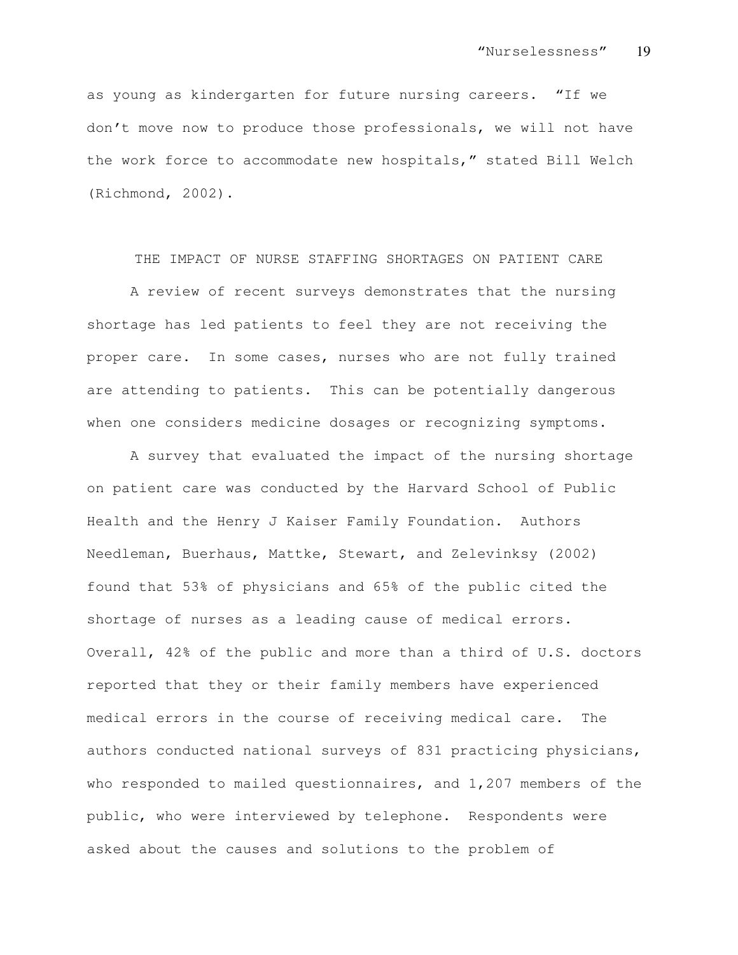as young as kindergarten for future nursing careers. "If we don't move now to produce those professionals, we will not have the work force to accommodate new hospitals," stated Bill Welch (Richmond, 2002).

## THE IMPACT OF NURSE STAFFING SHORTAGES ON PATIENT CARE

A review of recent surveys demonstrates that the nursing shortage has led patients to feel they are not receiving the proper care. In some cases, nurses who are not fully trained are attending to patients. This can be potentially dangerous when one considers medicine dosages or recognizing symptoms.

A survey that evaluated the impact of the nursing shortage on patient care was conducted by the Harvard School of Public Health and the Henry J Kaiser Family Foundation. Authors Needleman, Buerhaus, Mattke, Stewart, and Zelevinksy (2002) found that 53% of physicians and 65% of the public cited the shortage of nurses as a leading cause of medical errors. Overall, 42% of the public and more than a third of U.S. doctors reported that they or their family members have experienced medical errors in the course of receiving medical care. The authors conducted national surveys of 831 practicing physicians, who responded to mailed questionnaires, and 1,207 members of the public, who were interviewed by telephone. Respondents were asked about the causes and solutions to the problem of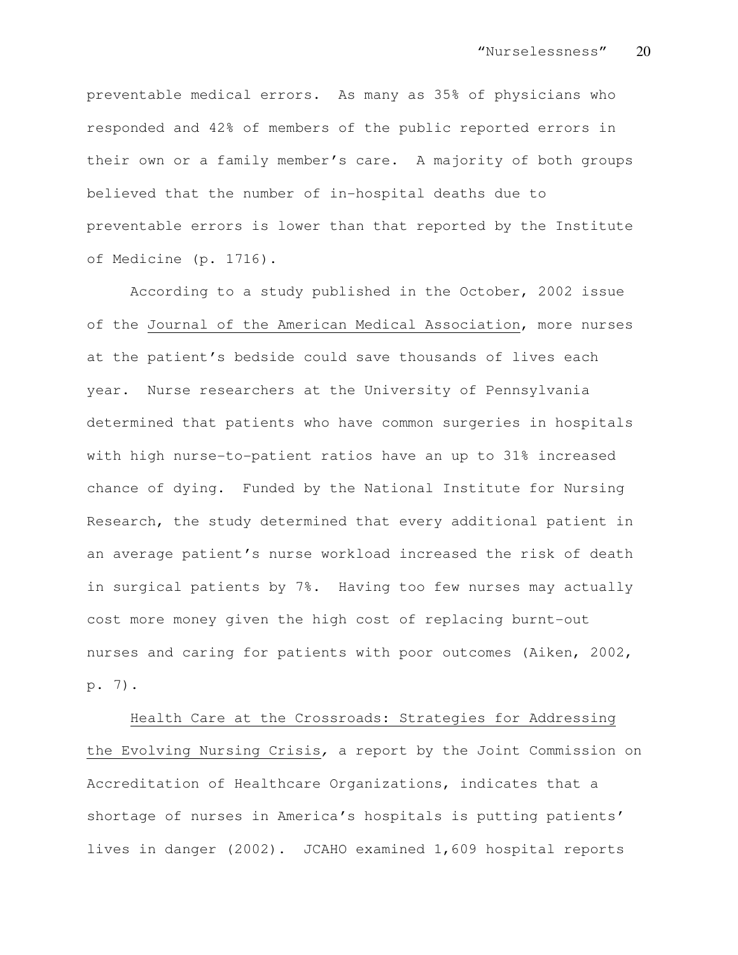preventable medical errors. As many as 35% of physicians who responded and 42% of members of the public reported errors in their own or a family member's care. A majority of both groups believed that the number of in-hospital deaths due to preventable errors is lower than that reported by the Institute of Medicine (p. 1716).

According to a study published in the October, 2002 issue of the Journal of the American Medical Association, more nurses at the patient's bedside could save thousands of lives each year. Nurse researchers at the University of Pennsylvania determined that patients who have common surgeries in hospitals with high nurse-to-patient ratios have an up to 31% increased chance of dying. Funded by the National Institute for Nursing Research, the study determined that every additional patient in an average patient's nurse workload increased the risk of death in surgical patients by 7%. Having too few nurses may actually cost more money given the high cost of replacing burnt-out nurses and caring for patients with poor outcomes (Aiken, 2002, p. 7).

Health Care at the Crossroads: Strategies for Addressing the Evolving Nursing Crisis, a report by the Joint Commission on Accreditation of Healthcare Organizations, indicates that a shortage of nurses in America's hospitals is putting patients' lives in danger (2002). JCAHO examined 1,609 hospital reports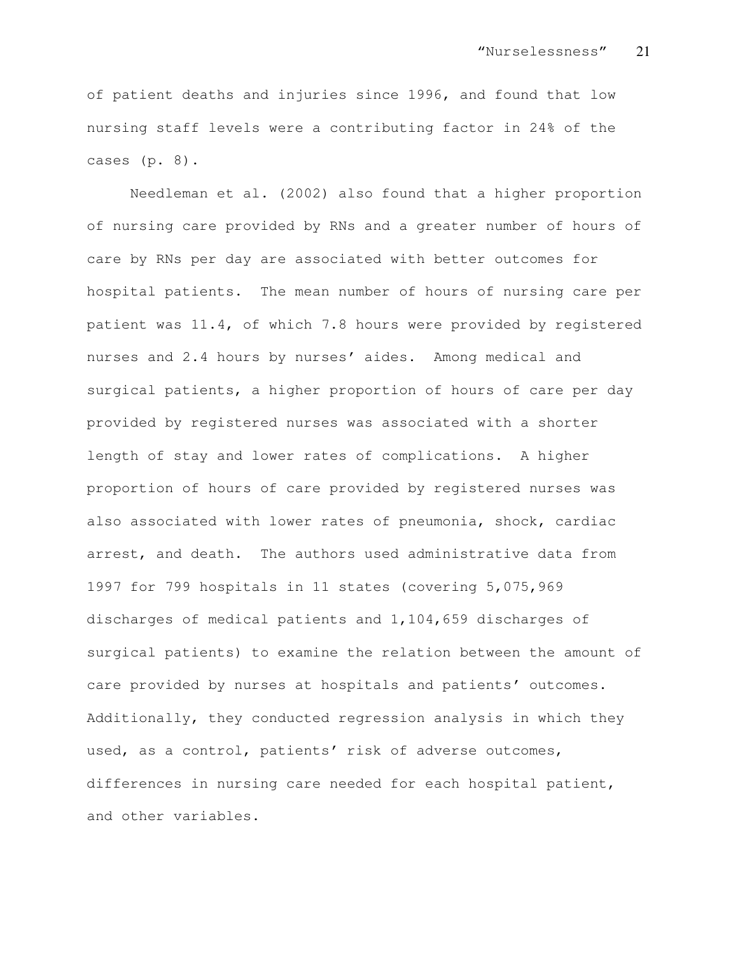of patient deaths and injuries since 1996, and found that low nursing staff levels were a contributing factor in 24% of the cases (p. 8).

Needleman et al. (2002) also found that a higher proportion of nursing care provided by RNs and a greater number of hours of care by RNs per day are associated with better outcomes for hospital patients. The mean number of hours of nursing care per patient was 11.4, of which 7.8 hours were provided by registered nurses and 2.4 hours by nurses' aides. Among medical and surgical patients, a higher proportion of hours of care per day provided by registered nurses was associated with a shorter length of stay and lower rates of complications. A higher proportion of hours of care provided by registered nurses was also associated with lower rates of pneumonia, shock, cardiac arrest, and death. The authors used administrative data from 1997 for 799 hospitals in 11 states (covering 5,075,969 discharges of medical patients and 1,104,659 discharges of surgical patients) to examine the relation between the amount of care provided by nurses at hospitals and patients' outcomes. Additionally, they conducted regression analysis in which they used, as a control, patients' risk of adverse outcomes, differences in nursing care needed for each hospital patient, and other variables.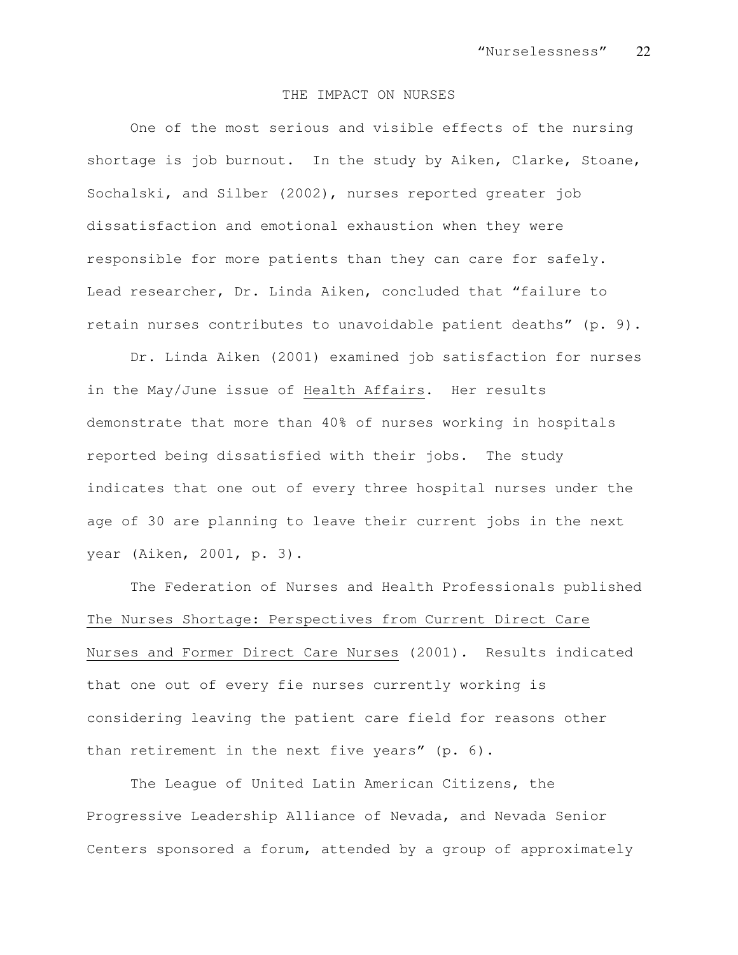#### THE IMPACT ON NURSES

One of the most serious and visible effects of the nursing shortage is job burnout. In the study by Aiken, Clarke, Stoane, Sochalski, and Silber (2002), nurses reported greater job dissatisfaction and emotional exhaustion when they were responsible for more patients than they can care for safely. Lead researcher, Dr. Linda Aiken, concluded that "failure to retain nurses contributes to unavoidable patient deaths" (p. 9).

Dr. Linda Aiken (2001) examined job satisfaction for nurses in the May/June issue of Health Affairs. Her results demonstrate that more than 40% of nurses working in hospitals reported being dissatisfied with their jobs. The study indicates that one out of every three hospital nurses under the age of 30 are planning to leave their current jobs in the next year (Aiken, 2001, p. 3).

The Federation of Nurses and Health Professionals published The Nurses Shortage: Perspectives from Current Direct Care Nurses and Former Direct Care Nurses (2001). Results indicated that one out of every fie nurses currently working is considering leaving the patient care field for reasons other than retirement in the next five years" (p. 6).

The League of United Latin American Citizens, the Progressive Leadership Alliance of Nevada, and Nevada Senior Centers sponsored a forum, attended by a group of approximately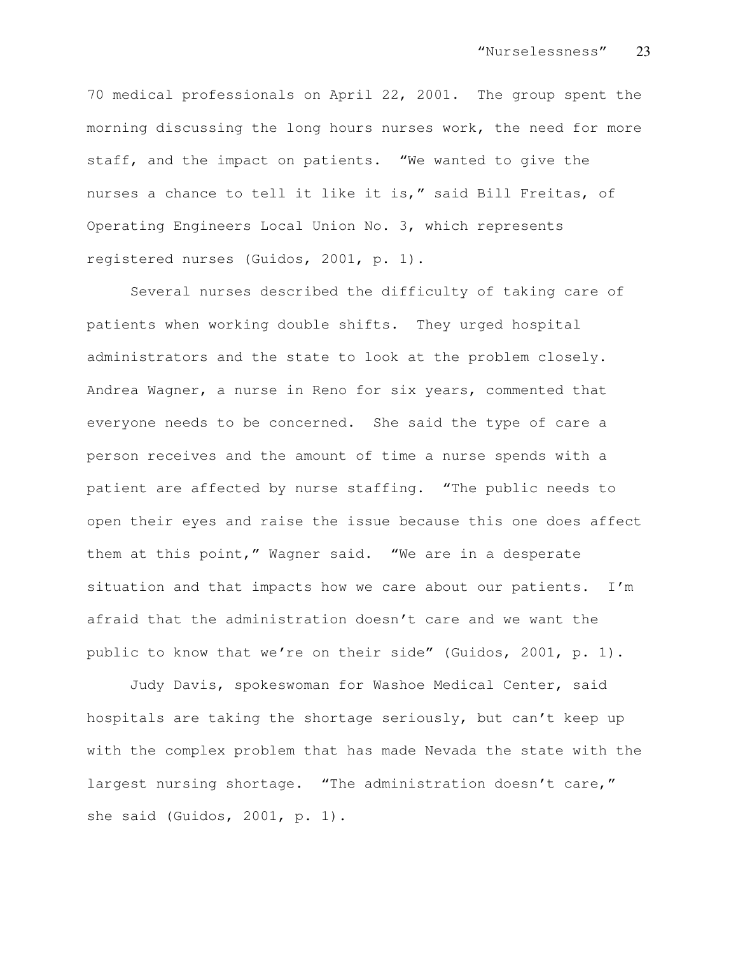70 medical professionals on April 22, 2001. The group spent the morning discussing the long hours nurses work, the need for more staff, and the impact on patients. "We wanted to give the nurses a chance to tell it like it is," said Bill Freitas, of Operating Engineers Local Union No. 3, which represents registered nurses (Guidos, 2001, p. 1).

Several nurses described the difficulty of taking care of patients when working double shifts. They urged hospital administrators and the state to look at the problem closely. Andrea Wagner, a nurse in Reno for six years, commented that everyone needs to be concerned. She said the type of care a person receives and the amount of time a nurse spends with a patient are affected by nurse staffing. "The public needs to open their eyes and raise the issue because this one does affect them at this point," Wagner said. "We are in a desperate situation and that impacts how we care about our patients. I'm afraid that the administration doesn't care and we want the public to know that we're on their side" (Guidos, 2001, p. 1).

Judy Davis, spokeswoman for Washoe Medical Center, said hospitals are taking the shortage seriously, but can't keep up with the complex problem that has made Nevada the state with the largest nursing shortage. "The administration doesn't care," she said (Guidos, 2001, p. 1).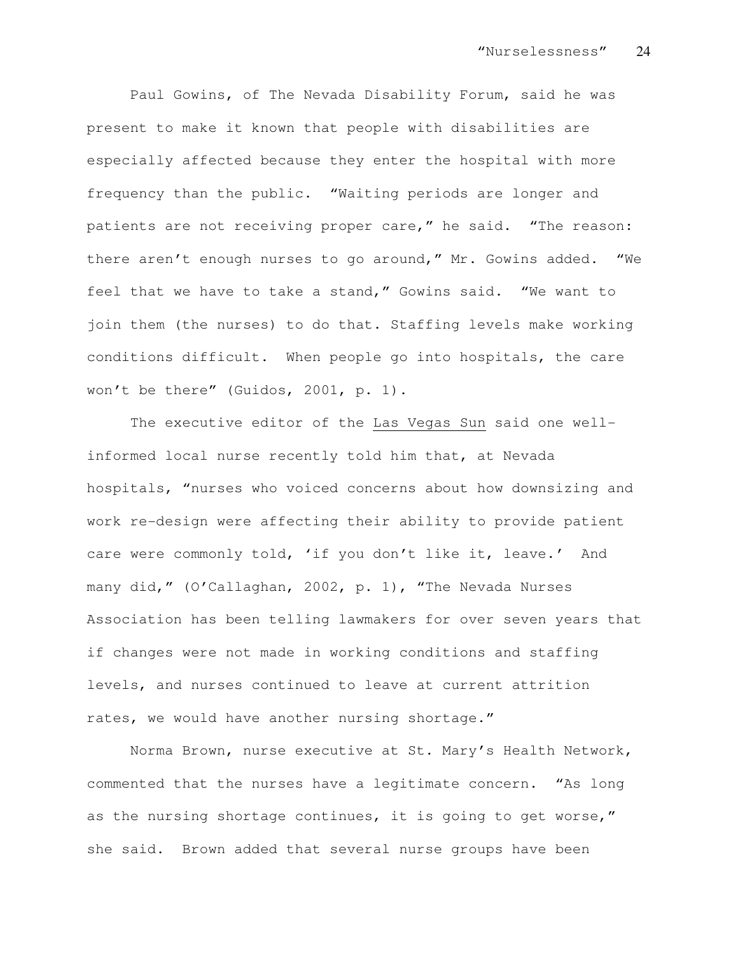Paul Gowins, of The Nevada Disability Forum, said he was present to make it known that people with disabilities are especially affected because they enter the hospital with more frequency than the public. "Waiting periods are longer and patients are not receiving proper care," he said. "The reason: there aren't enough nurses to go around," Mr. Gowins added. "We feel that we have to take a stand," Gowins said. "We want to join them (the nurses) to do that. Staffing levels make working conditions difficult. When people go into hospitals, the care won't be there" (Guidos, 2001, p. 1).

The executive editor of the Las Vegas Sun said one wellinformed local nurse recently told him that, at Nevada hospitals, "nurses who voiced concerns about how downsizing and work re-design were affecting their ability to provide patient care were commonly told, 'if you don't like it, leave.' And many did," (O'Callaghan, 2002, p. 1), "The Nevada Nurses Association has been telling lawmakers for over seven years that if changes were not made in working conditions and staffing levels, and nurses continued to leave at current attrition rates, we would have another nursing shortage."

Norma Brown, nurse executive at St. Mary's Health Network, commented that the nurses have a legitimate concern. "As long as the nursing shortage continues, it is going to get worse," she said. Brown added that several nurse groups have been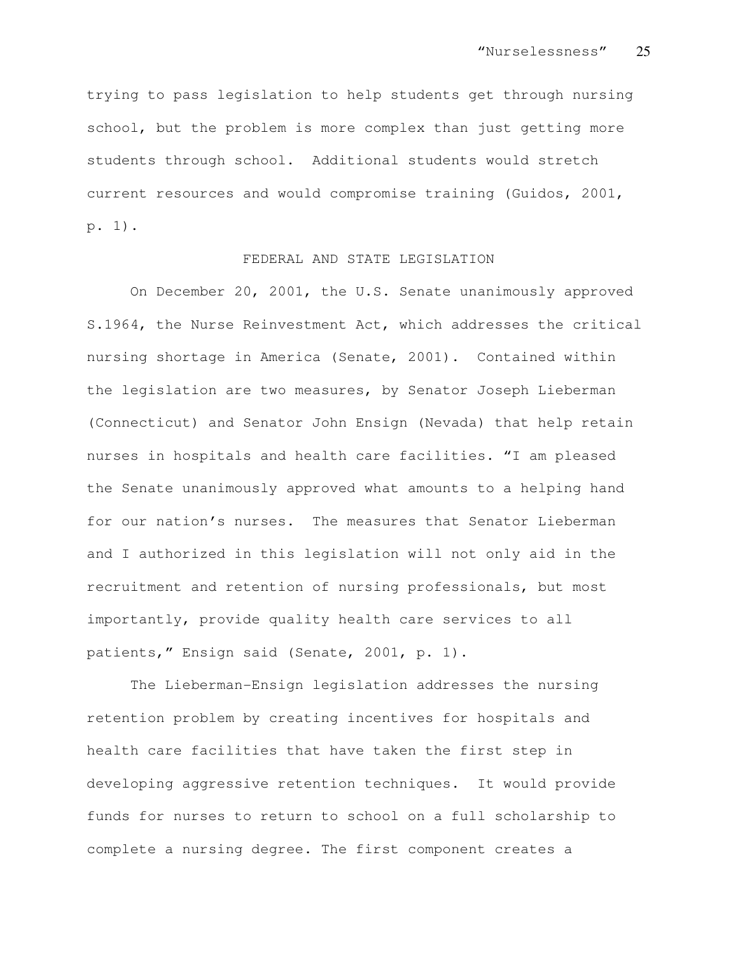trying to pass legislation to help students get through nursing school, but the problem is more complex than just getting more students through school. Additional students would stretch current resources and would compromise training (Guidos, 2001, p. 1).

# FEDERAL AND STATE LEGISLATION

On December 20, 2001, the U.S. Senate unanimously approved S.1964, the Nurse Reinvestment Act, which addresses the critical nursing shortage in America (Senate, 2001). Contained within the legislation are two measures, by Senator Joseph Lieberman (Connecticut) and Senator John Ensign (Nevada) that help retain nurses in hospitals and health care facilities. "I am pleased the Senate unanimously approved what amounts to a helping hand for our nation's nurses. The measures that Senator Lieberman and I authorized in this legislation will not only aid in the recruitment and retention of nursing professionals, but most importantly, provide quality health care services to all patients," Ensign said (Senate, 2001, p. 1).

The Lieberman-Ensign legislation addresses the nursing retention problem by creating incentives for hospitals and health care facilities that have taken the first step in developing aggressive retention techniques. It would provide funds for nurses to return to school on a full scholarship to complete a nursing degree. The first component creates a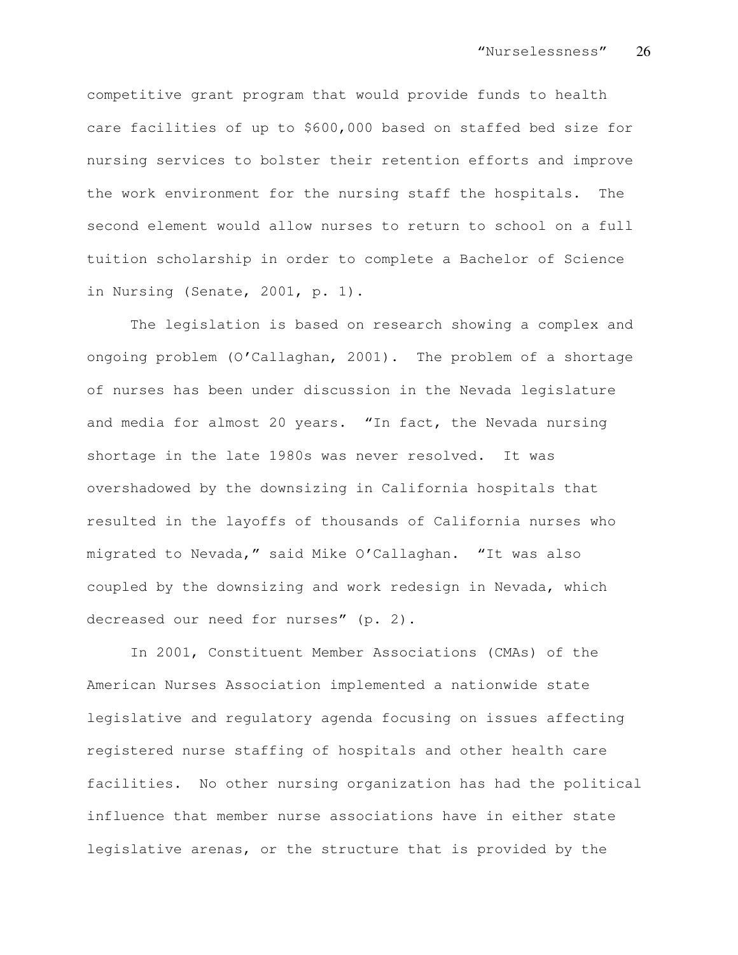competitive grant program that would provide funds to health care facilities of up to \$600,000 based on staffed bed size for nursing services to bolster their retention efforts and improve the work environment for the nursing staff the hospitals. The second element would allow nurses to return to school on a full tuition scholarship in order to complete a Bachelor of Science in Nursing (Senate, 2001, p. 1).

The legislation is based on research showing a complex and ongoing problem (O'Callaghan, 2001). The problem of a shortage of nurses has been under discussion in the Nevada legislature and media for almost 20 years. "In fact, the Nevada nursing shortage in the late 1980s was never resolved. It was overshadowed by the downsizing in California hospitals that resulted in the layoffs of thousands of California nurses who migrated to Nevada," said Mike O'Callaghan. "It was also coupled by the downsizing and work redesign in Nevada, which decreased our need for nurses" (p. 2).

In 2001, Constituent Member Associations (CMAs) of the American Nurses Association implemented a nationwide state legislative and regulatory agenda focusing on issues affecting registered nurse staffing of hospitals and other health care facilities. No other nursing organization has had the political influence that member nurse associations have in either state legislative arenas, or the structure that is provided by the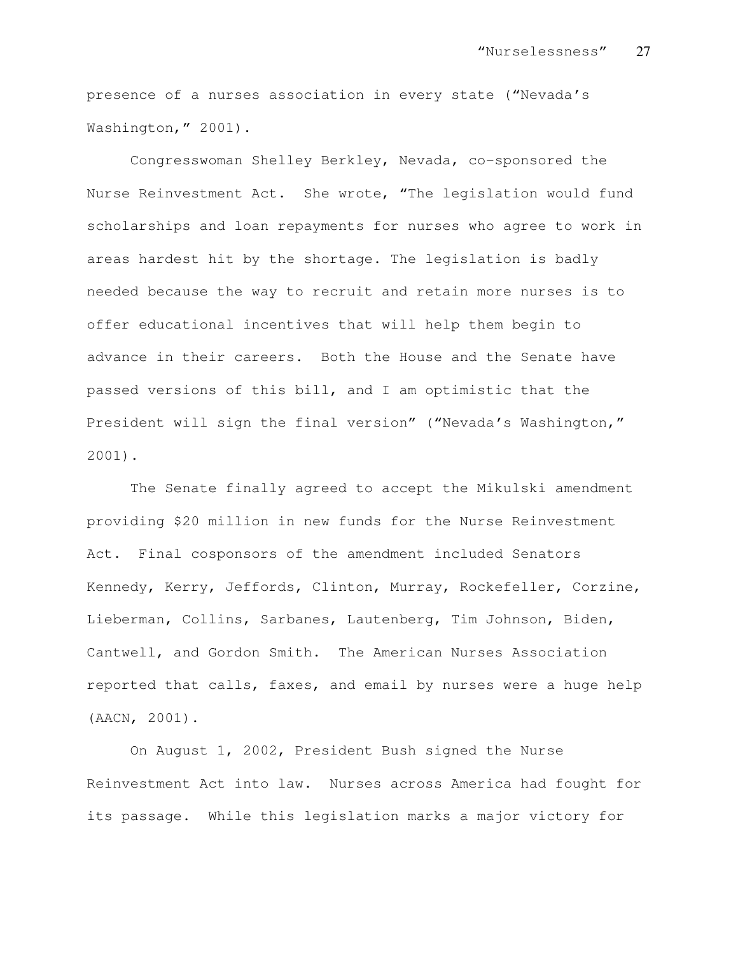presence of a nurses association in every state ("Nevada's Washington," 2001).

Congresswoman Shelley Berkley, Nevada, co-sponsored the Nurse Reinvestment Act. She wrote, "The legislation would fund scholarships and loan repayments for nurses who agree to work in areas hardest hit by the shortage. The legislation is badly needed because the way to recruit and retain more nurses is to offer educational incentives that will help them begin to advance in their careers. Both the House and the Senate have passed versions of this bill, and I am optimistic that the President will sign the final version" ("Nevada's Washington," 2001).

The Senate finally agreed to accept the Mikulski amendment providing \$20 million in new funds for the Nurse Reinvestment Act. Final cosponsors of the amendment included Senators Kennedy, Kerry, Jeffords, Clinton, Murray, Rockefeller, Corzine, Lieberman, Collins, Sarbanes, Lautenberg, Tim Johnson, Biden, Cantwell, and Gordon Smith. The American Nurses Association reported that calls, faxes, and email by nurses were a huge help (AACN, 2001).

On August 1, 2002, President Bush signed the Nurse Reinvestment Act into law. Nurses across America had fought for its passage. While this legislation marks a major victory for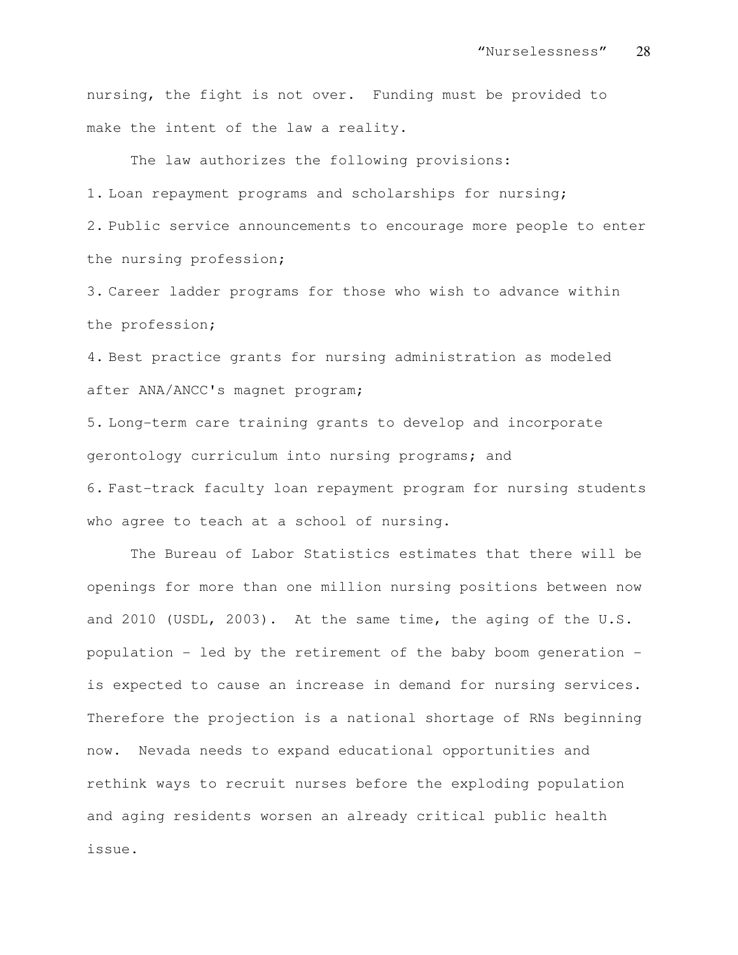nursing, the fight is not over. Funding must be provided to make the intent of the law a reality.

The law authorizes the following provisions: 1. Loan repayment programs and scholarships for nursing; 2. Public service announcements to encourage more people to enter the nursing profession;

3. Career ladder programs for those who wish to advance within the profession;

4. Best practice grants for nursing administration as modeled after ANA/ANCC's magnet program;

5. Long-term care training grants to develop and incorporate gerontology curriculum into nursing programs; and 6. Fast-track faculty loan repayment program for nursing students who agree to teach at a school of nursing.

The Bureau of Labor Statistics estimates that there will be openings for more than one million nursing positions between now and 2010 (USDL, 2003). At the same time, the aging of the U.S. population - led by the retirement of the baby boom generation is expected to cause an increase in demand for nursing services. Therefore the projection is a national shortage of RNs beginning now. Nevada needs to expand educational opportunities and rethink ways to recruit nurses before the exploding population and aging residents worsen an already critical public health issue.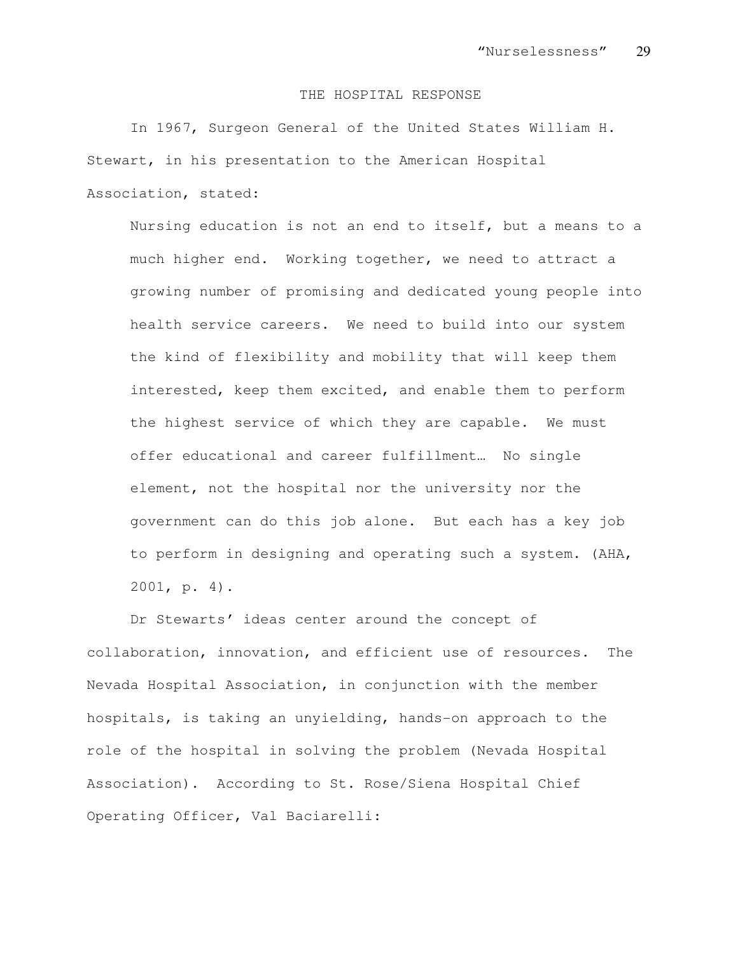#### THE HOSPITAL RESPONSE

In 1967, Surgeon General of the United States William H. Stewart, in his presentation to the American Hospital Association, stated:

Nursing education is not an end to itself, but a means to a much higher end. Working together, we need to attract a growing number of promising and dedicated young people into health service careers. We need to build into our system the kind of flexibility and mobility that will keep them interested, keep them excited, and enable them to perform the highest service of which they are capable. We must offer educational and career fulfillment… No single element, not the hospital nor the university nor the government can do this job alone. But each has a key job to perform in designing and operating such a system. (AHA, 2001, p. 4).

Dr Stewarts' ideas center around the concept of collaboration, innovation, and efficient use of resources. The Nevada Hospital Association, in conjunction with the member hospitals, is taking an unyielding, hands-on approach to the role of the hospital in solving the problem (Nevada Hospital Association). According to St. Rose/Siena Hospital Chief Operating Officer, Val Baciarelli: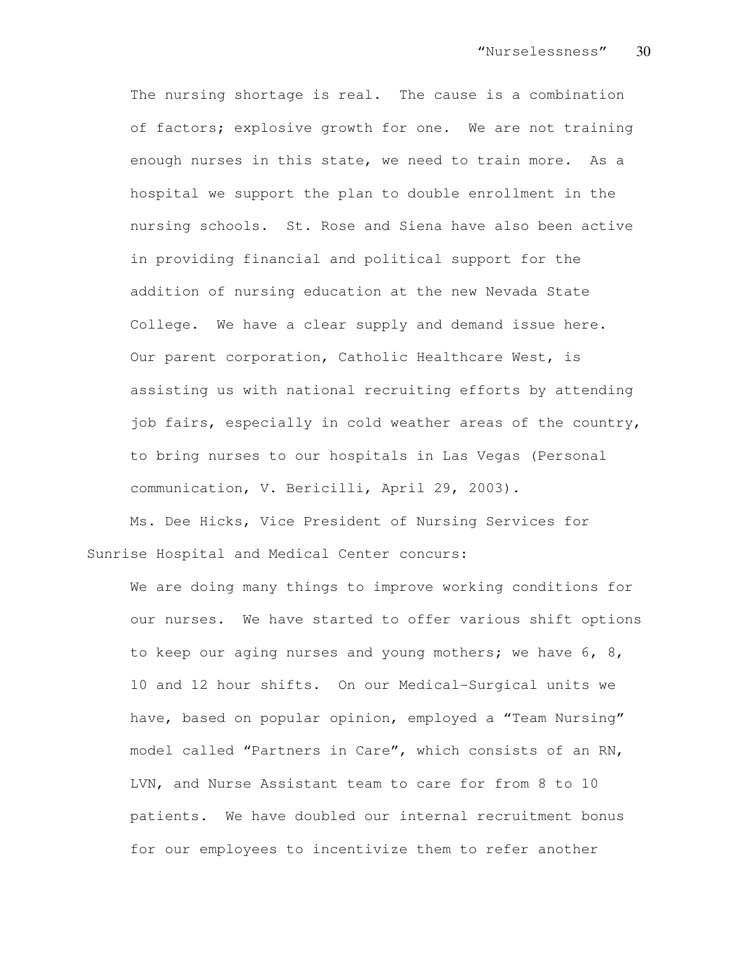The nursing shortage is real. The cause is a combination of factors; explosive growth for one. We are not training enough nurses in this state, we need to train more. As a hospital we support the plan to double enrollment in the nursing schools. St. Rose and Siena have also been active in providing financial and political support for the addition of nursing education at the new Nevada State College. We have a clear supply and demand issue here. Our parent corporation, Catholic Healthcare West, is assisting us with national recruiting efforts by attending job fairs, especially in cold weather areas of the country, to bring nurses to our hospitals in Las Vegas (Personal communication, V. Bericilli, April 29, 2003).

Ms. Dee Hicks, Vice President of Nursing Services for Sunrise Hospital and Medical Center concurs:

We are doing many things to improve working conditions for our nurses. We have started to offer various shift options to keep our aging nurses and young mothers; we have 6, 8, 10 and 12 hour shifts. On our Medical-Surgical units we have, based on popular opinion, employed a "Team Nursing" model called "Partners in Care", which consists of an RN, LVN, and Nurse Assistant team to care for from 8 to 10 patients. We have doubled our internal recruitment bonus for our employees to incentivize them to refer another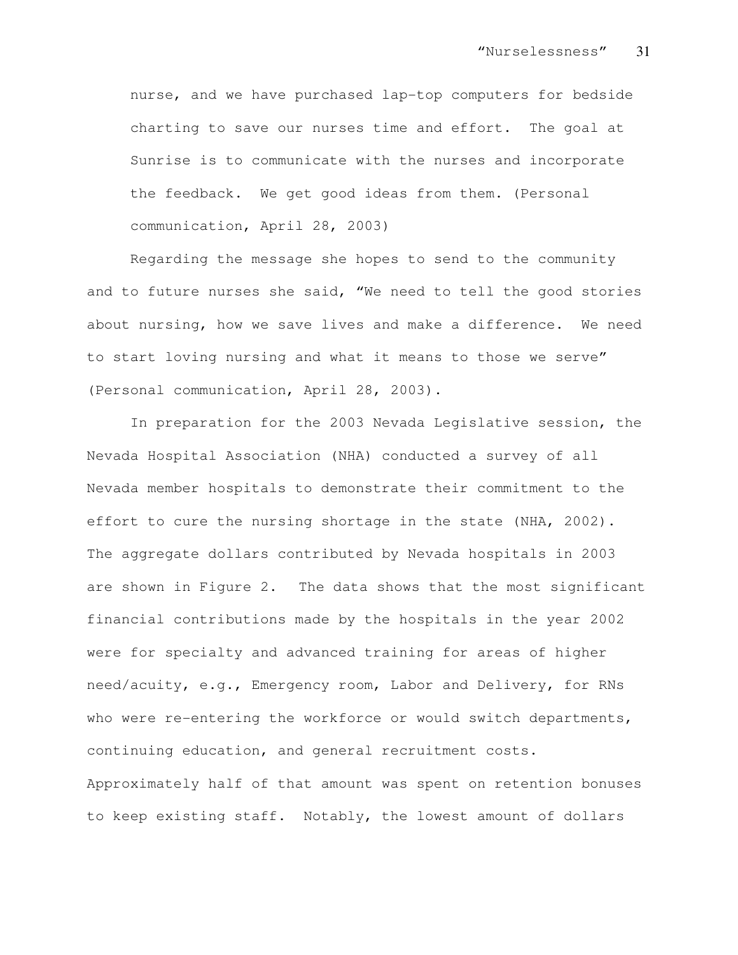nurse, and we have purchased lap-top computers for bedside charting to save our nurses time and effort. The goal at Sunrise is to communicate with the nurses and incorporate the feedback. We get good ideas from them. (Personal communication, April 28, 2003)

Regarding the message she hopes to send to the community and to future nurses she said, "We need to tell the good stories about nursing, how we save lives and make a difference. We need to start loving nursing and what it means to those we serve" (Personal communication, April 28, 2003).

In preparation for the 2003 Nevada Legislative session, the Nevada Hospital Association (NHA) conducted a survey of all Nevada member hospitals to demonstrate their commitment to the effort to cure the nursing shortage in the state (NHA, 2002). The aggregate dollars contributed by Nevada hospitals in 2003 are shown in Figure 2. The data shows that the most significant financial contributions made by the hospitals in the year 2002 were for specialty and advanced training for areas of higher need/acuity, e.g., Emergency room, Labor and Delivery, for RNs who were re-entering the workforce or would switch departments, continuing education, and general recruitment costs. Approximately half of that amount was spent on retention bonuses to keep existing staff. Notably, the lowest amount of dollars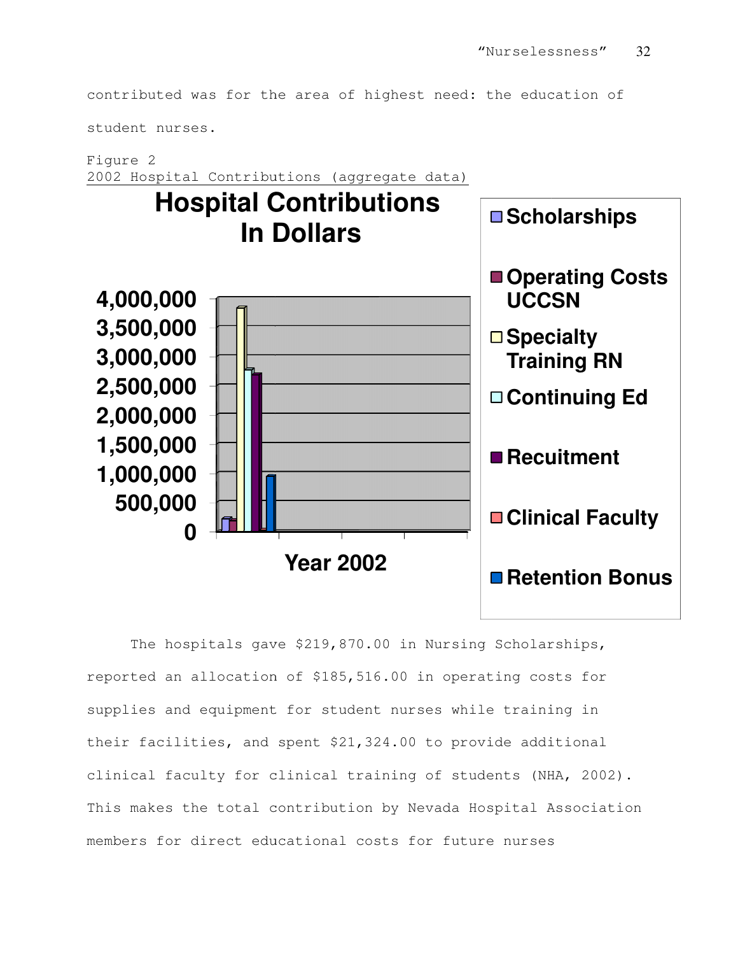contributed was for the area of highest need: the education of

student nurses.

Figure 2 2002 Hospital Contributions (aggregate data)



The hospitals gave \$219,870.00 in Nursing Scholarships, reported an allocation of \$185,516.00 in operating costs for supplies and equipment for student nurses while training in their facilities, and spent \$21,324.00 to provide additional clinical faculty for clinical training of students (NHA, 2002). This makes the total contribution by Nevada Hospital Association members for direct educational costs for future nurses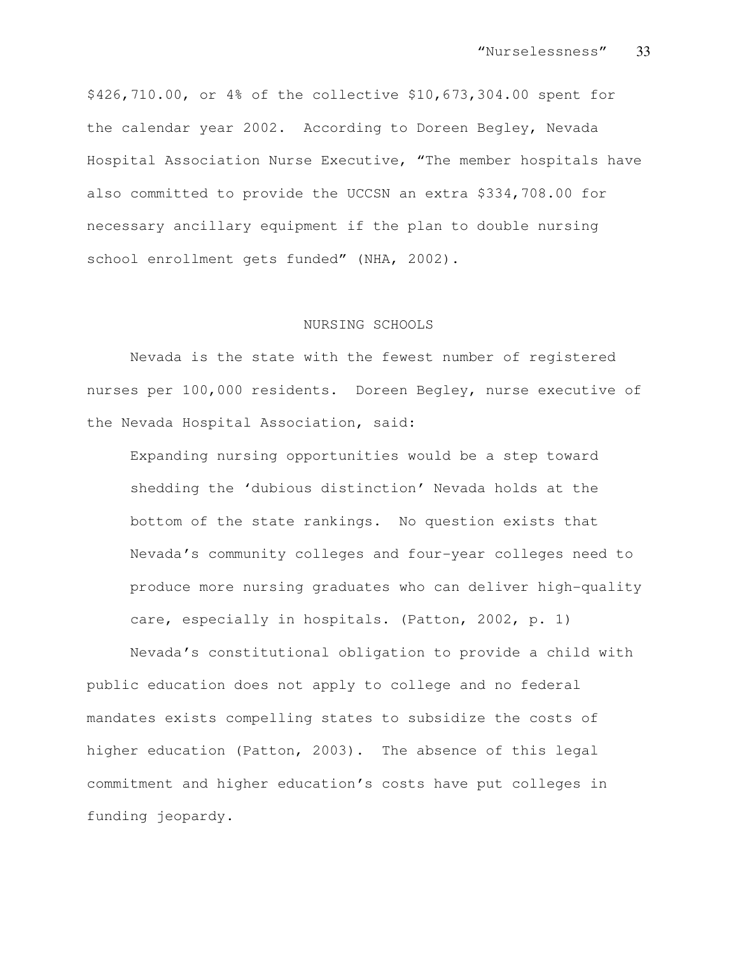\$426,710.00, or 4% of the collective \$10,673,304.00 spent for the calendar year 2002. According to Doreen Begley, Nevada Hospital Association Nurse Executive, "The member hospitals have also committed to provide the UCCSN an extra \$334,708.00 for necessary ancillary equipment if the plan to double nursing school enrollment gets funded" (NHA, 2002).

# NURSING SCHOOLS

Nevada is the state with the fewest number of registered nurses per 100,000 residents. Doreen Begley, nurse executive of the Nevada Hospital Association, said:

Expanding nursing opportunities would be a step toward shedding the 'dubious distinction' Nevada holds at the bottom of the state rankings. No question exists that Nevada's community colleges and four-year colleges need to produce more nursing graduates who can deliver high-quality care, especially in hospitals. (Patton, 2002, p. 1)

Nevada's constitutional obligation to provide a child with public education does not apply to college and no federal mandates exists compelling states to subsidize the costs of higher education (Patton, 2003). The absence of this legal commitment and higher education's costs have put colleges in funding jeopardy.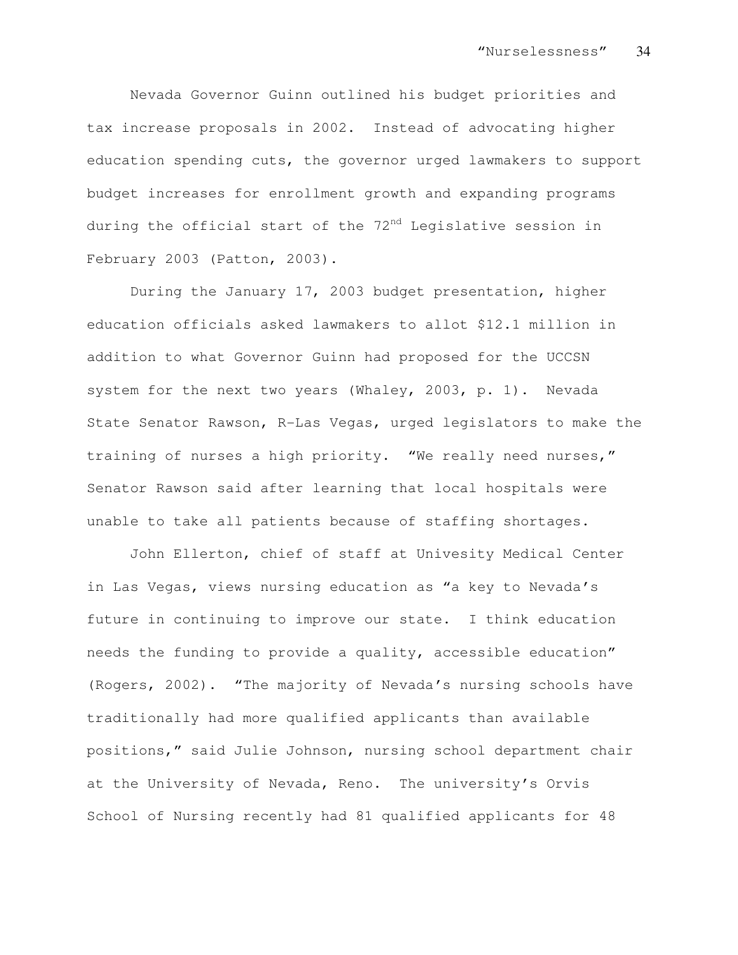Nevada Governor Guinn outlined his budget priorities and tax increase proposals in 2002. Instead of advocating higher education spending cuts, the governor urged lawmakers to support budget increases for enrollment growth and expanding programs during the official start of the 72<sup>nd</sup> Legislative session in February 2003 (Patton, 2003).

During the January 17, 2003 budget presentation, higher education officials asked lawmakers to allot \$12.1 million in addition to what Governor Guinn had proposed for the UCCSN system for the next two years (Whaley, 2003, p. 1). Nevada State Senator Rawson, R-Las Vegas, urged legislators to make the training of nurses a high priority. "We really need nurses," Senator Rawson said after learning that local hospitals were unable to take all patients because of staffing shortages.

John Ellerton, chief of staff at Univesity Medical Center in Las Vegas, views nursing education as "a key to Nevada's future in continuing to improve our state. I think education needs the funding to provide a quality, accessible education" (Rogers, 2002). "The majority of Nevada's nursing schools have traditionally had more qualified applicants than available positions," said Julie Johnson, nursing school department chair at the University of Nevada, Reno. The university's Orvis School of Nursing recently had 81 qualified applicants for 48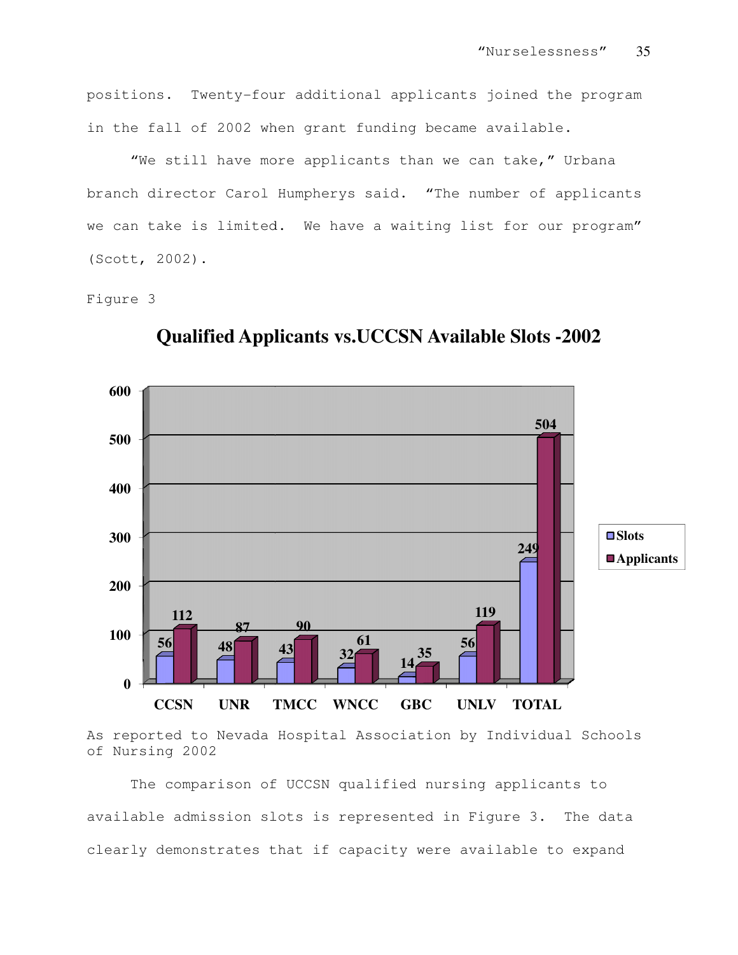positions. Twenty-four additional applicants joined the program in the fall of 2002 when grant funding became available. the fall of 2002 when grant funding became available.<br>"We still have more applicants than we can take," Urbana

branch director Carol Humpherys said. "The number of applicants<br>we can take is limited. We have a waiting list for our program" we can take is limited. We have a waiting list for our program" (Scott, 2002). "Nurselessness" 35<br>
icants joined the program<br>
became available.<br>
n we can take," Urbana<br>
"The number of applicants<br>
ing list for our program"<br> **Available Slots -2002** 

#### Figure 3



**Qualified Applicants vs.UCCSN Available Slots** 

As reported to Nevada Hospital Association by Individual Schools of Nursing 2002

The comparison of UCCSN qualified nursing applicants to As reported to Nevada Hospital Association by Individual Schools<br>of Nursing 2002<br>The comparison of UCCSN qualified nursing applicants to<br>available admission slots is represented in Figure 3. The data clearly demonstrates that if capacity were available to expand **CCSN UNR TMCC WNCC GBC UNLV TOTAL**<br>s reported to Nevada Hospital Association by Individua<br>f Nursing 2002<br>The comparison of UCCSN qualified nursing applican<br>vailable admission slots is represented in Figure 3.<br>learly demon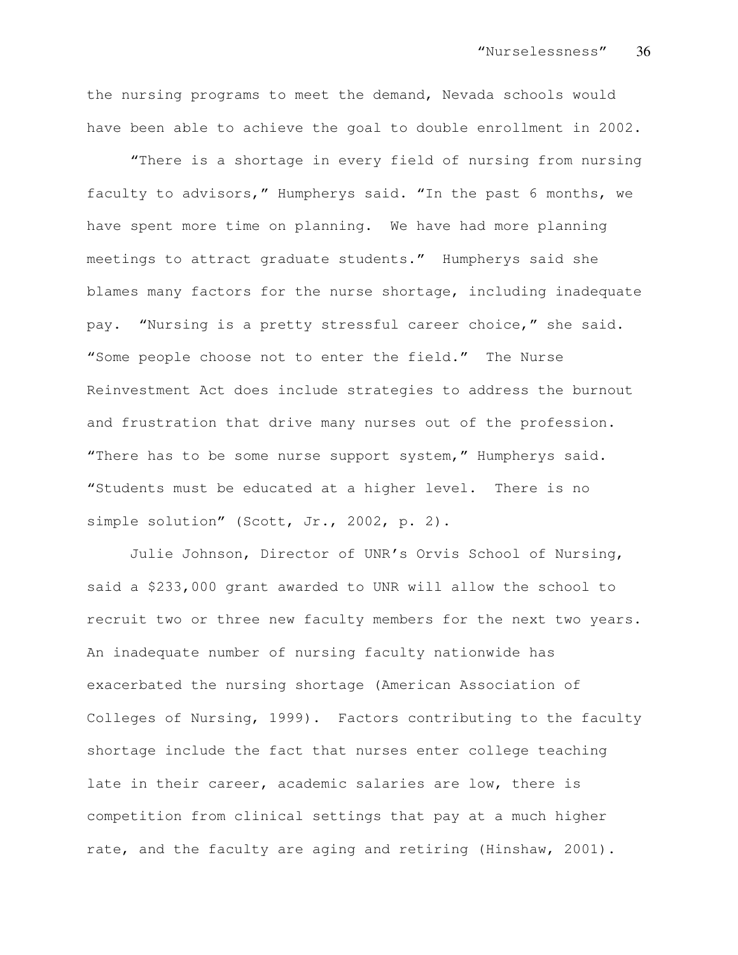the nursing programs to meet the demand, Nevada schools would have been able to achieve the goal to double enrollment in 2002.

"There is a shortage in every field of nursing from nursing faculty to advisors," Humpherys said. "In the past 6 months, we have spent more time on planning. We have had more planning meetings to attract graduate students." Humpherys said she blames many factors for the nurse shortage, including inadequate pay. "Nursing is a pretty stressful career choice," she said. "Some people choose not to enter the field." The Nurse Reinvestment Act does include strategies to address the burnout and frustration that drive many nurses out of the profession. "There has to be some nurse support system," Humpherys said. "Students must be educated at a higher level. There is no simple solution" (Scott, Jr., 2002, p. 2).

Julie Johnson, Director of UNR's Orvis School of Nursing, said a \$233,000 grant awarded to UNR will allow the school to recruit two or three new faculty members for the next two years. An inadequate number of nursing faculty nationwide has exacerbated the nursing shortage (American Association of Colleges of Nursing, 1999). Factors contributing to the faculty shortage include the fact that nurses enter college teaching late in their career, academic salaries are low, there is competition from clinical settings that pay at a much higher rate, and the faculty are aging and retiring (Hinshaw, 2001).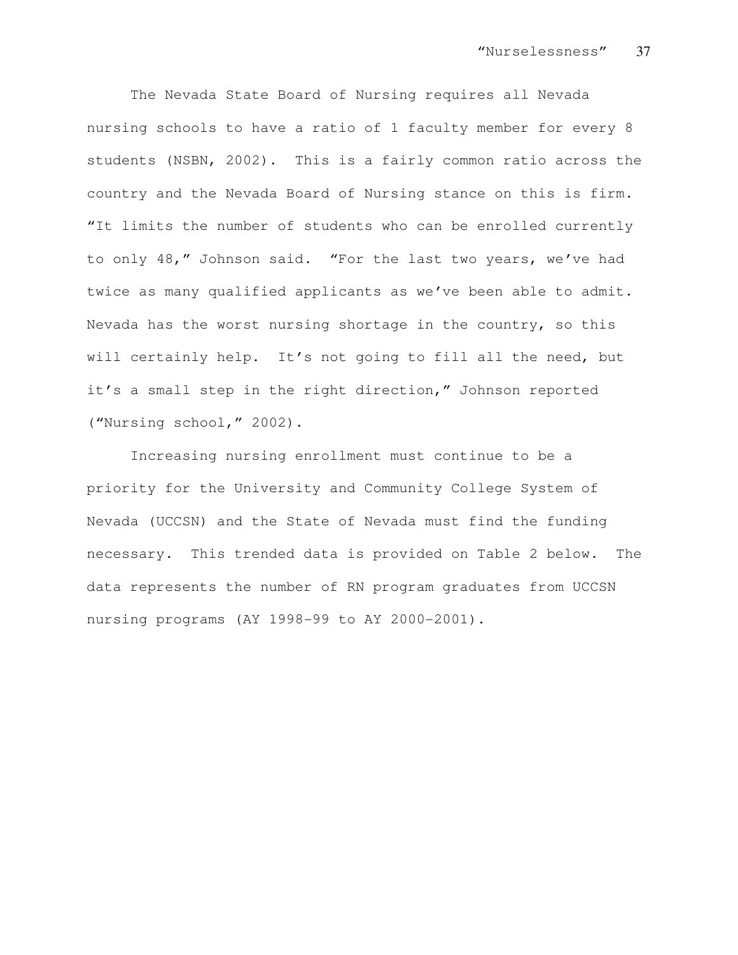The Nevada State Board of Nursing requires all Nevada nursing schools to have a ratio of 1 faculty member for every 8 students (NSBN, 2002). This is a fairly common ratio across the country and the Nevada Board of Nursing stance on this is firm. "It limits the number of students who can be enrolled currently to only 48," Johnson said. "For the last two years, we've had twice as many qualified applicants as we've been able to admit. Nevada has the worst nursing shortage in the country, so this will certainly help. It's not going to fill all the need, but it's a small step in the right direction," Johnson reported ("Nursing school," 2002).

Increasing nursing enrollment must continue to be a priority for the University and Community College System of Nevada (UCCSN) and the State of Nevada must find the funding necessary. This trended data is provided on Table 2 below. The data represents the number of RN program graduates from UCCSN nursing programs (AY 1998-99 to AY 2000-2001).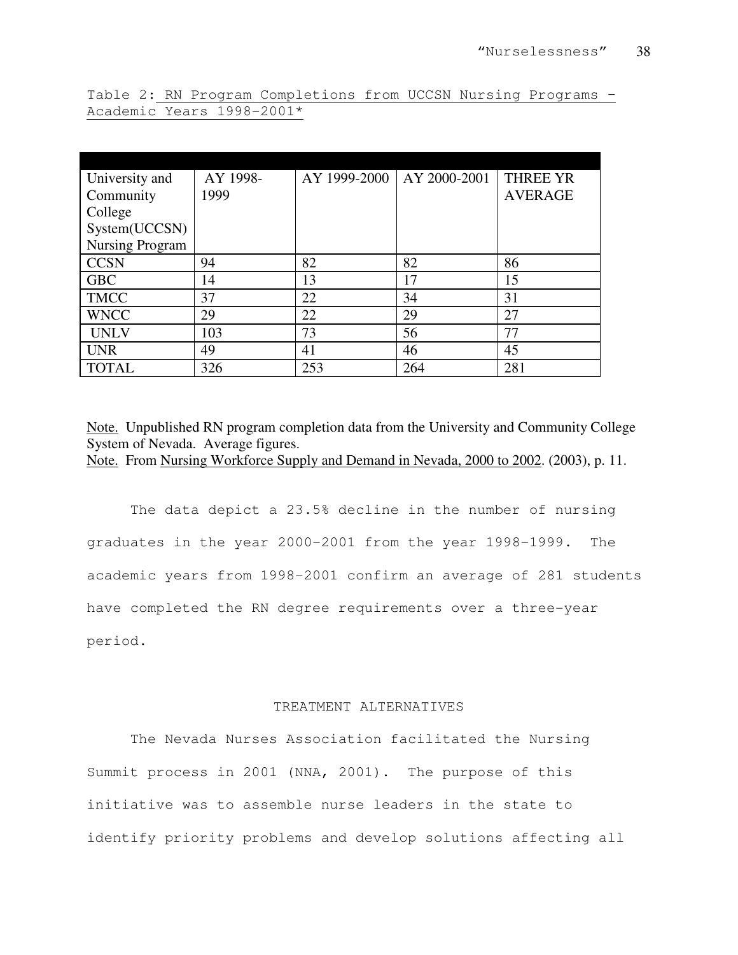| University and         | AY 1998- | AY 1999-2000 | AY 2000-2001 | <b>THREE YR</b> |
|------------------------|----------|--------------|--------------|-----------------|
| Community              | 1999     |              |              | <b>AVERAGE</b>  |
| College                |          |              |              |                 |
| System(UCCSN)          |          |              |              |                 |
| <b>Nursing Program</b> |          |              |              |                 |
| <b>CCSN</b>            | 94       | 82           | 82           | 86              |
| <b>GBC</b>             | 14       | 13           | 17           | 15              |
| <b>TMCC</b>            | 37       | 22           | 34           | 31              |
| <b>WNCC</b>            | 29       | 22           | 29           | 27              |
| <b>UNLV</b>            | 103      | 73           | 56           | 77              |
| <b>UNR</b>             | 49       | 41           | 46           | 45              |
| <b>TOTAL</b>           | 326      | 253          | 264          | 281             |

Table 2: RN Program Completions from UCCSN Nursing Programs – Academic Years 1998-2001\*

Note. Unpublished RN program completion data from the University and Community College System of Nevada. Average figures.

Note. From Nursing Workforce Supply and Demand in Nevada, 2000 to 2002. (2003), p. 11.

The data depict a 23.5% decline in the number of nursing graduates in the year 2000-2001 from the year 1998-1999. The academic years from 1998-2001 confirm an average of 281 students have completed the RN degree requirements over a three-year period.

# TREATMENT ALTERNATIVES

The Nevada Nurses Association facilitated the Nursing Summit process in 2001 (NNA, 2001). The purpose of this initiative was to assemble nurse leaders in the state to identify priority problems and develop solutions affecting all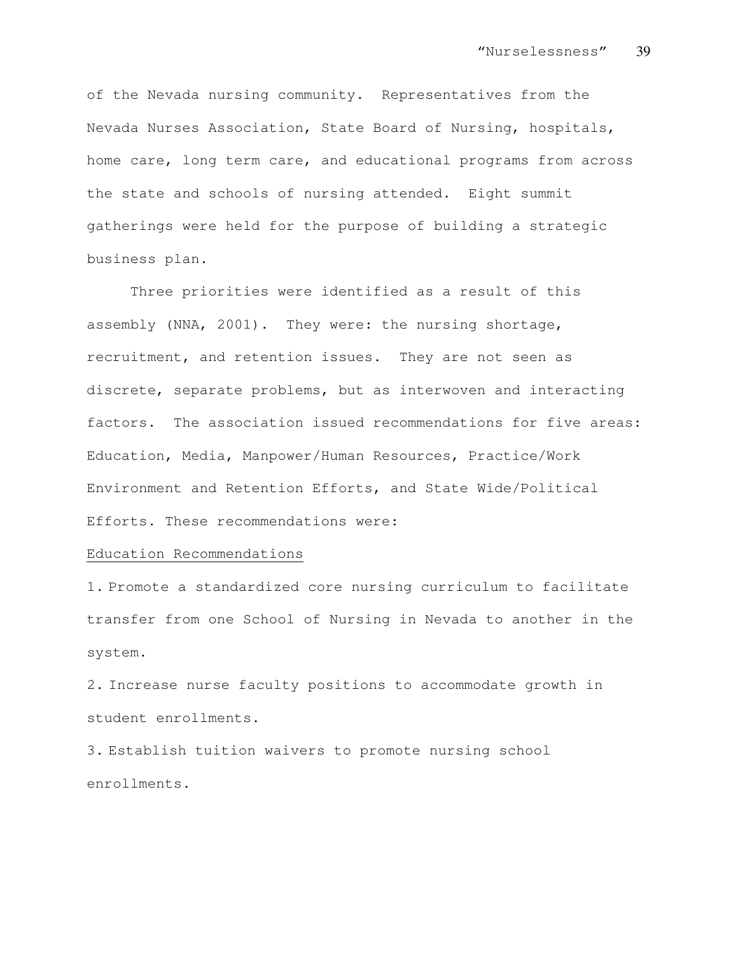of the Nevada nursing community. Representatives from the Nevada Nurses Association, State Board of Nursing, hospitals, home care, long term care, and educational programs from across the state and schools of nursing attended. Eight summit gatherings were held for the purpose of building a strategic business plan.

Three priorities were identified as a result of this assembly (NNA, 2001). They were: the nursing shortage, recruitment, and retention issues. They are not seen as discrete, separate problems, but as interwoven and interacting factors. The association issued recommendations for five areas: Education, Media, Manpower/Human Resources, Practice/Work Environment and Retention Efforts, and State Wide/Political Efforts. These recommendations were:

#### Education Recommendations

1. Promote a standardized core nursing curriculum to facilitate transfer from one School of Nursing in Nevada to another in the system.

2. Increase nurse faculty positions to accommodate growth in student enrollments.

3. Establish tuition waivers to promote nursing school enrollments.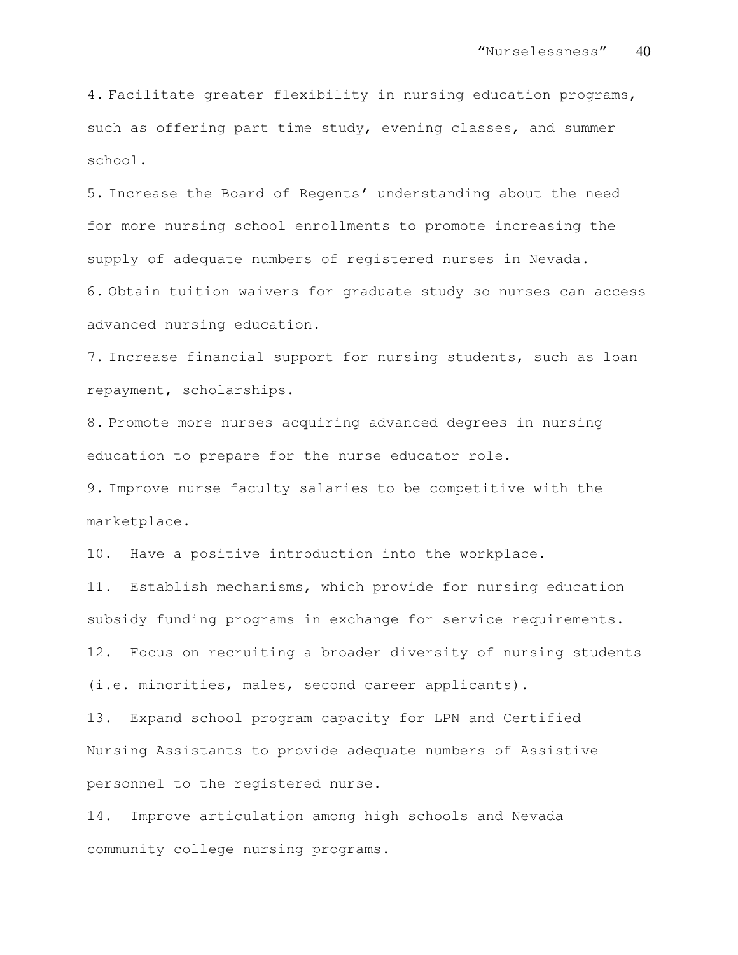4. Facilitate greater flexibility in nursing education programs, such as offering part time study, evening classes, and summer school.

5. Increase the Board of Regents' understanding about the need for more nursing school enrollments to promote increasing the supply of adequate numbers of registered nurses in Nevada.

6. Obtain tuition waivers for graduate study so nurses can access advanced nursing education.

7. Increase financial support for nursing students, such as loan repayment, scholarships.

8. Promote more nurses acquiring advanced degrees in nursing education to prepare for the nurse educator role.

9. Improve nurse faculty salaries to be competitive with the marketplace.

10. Have a positive introduction into the workplace.

11. Establish mechanisms, which provide for nursing education subsidy funding programs in exchange for service requirements. 12. Focus on recruiting a broader diversity of nursing students (i.e. minorities, males, second career applicants).

13. Expand school program capacity for LPN and Certified Nursing Assistants to provide adequate numbers of Assistive personnel to the registered nurse.

14. Improve articulation among high schools and Nevada community college nursing programs.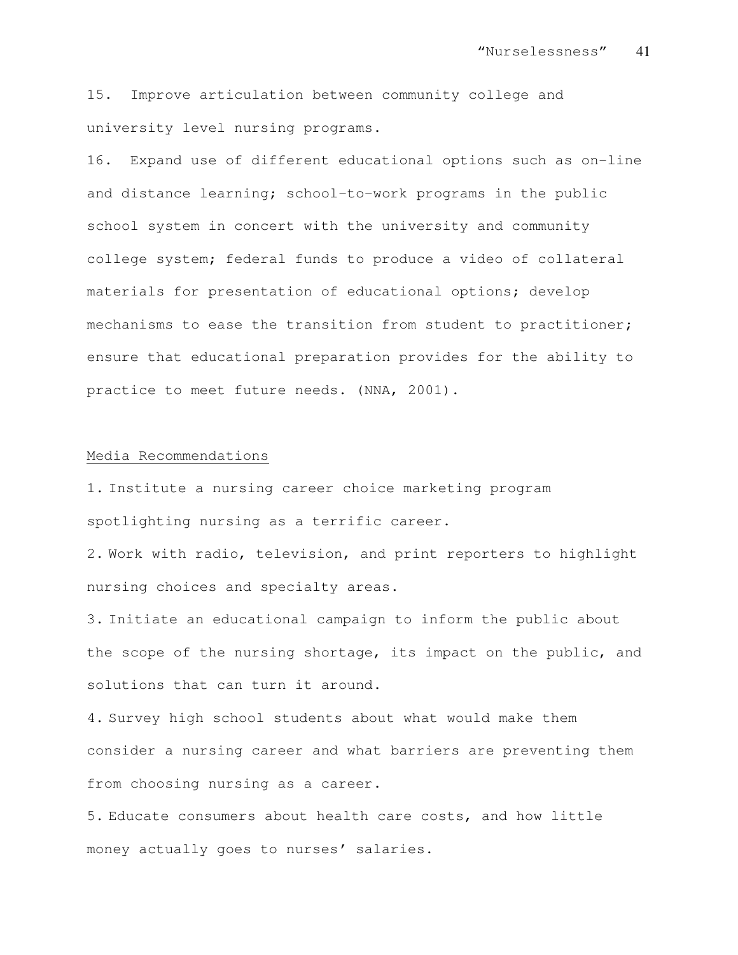15. Improve articulation between community college and university level nursing programs.

16. Expand use of different educational options such as on-line and distance learning; school-to-work programs in the public school system in concert with the university and community college system; federal funds to produce a video of collateral materials for presentation of educational options; develop mechanisms to ease the transition from student to practitioner; ensure that educational preparation provides for the ability to practice to meet future needs. (NNA, 2001).

#### Media Recommendations

1. Institute a nursing career choice marketing program spotlighting nursing as a terrific career.

2. Work with radio, television, and print reporters to highlight nursing choices and specialty areas.

3. Initiate an educational campaign to inform the public about the scope of the nursing shortage, its impact on the public, and solutions that can turn it around.

4. Survey high school students about what would make them consider a nursing career and what barriers are preventing them from choosing nursing as a career.

5. Educate consumers about health care costs, and how little money actually goes to nurses' salaries.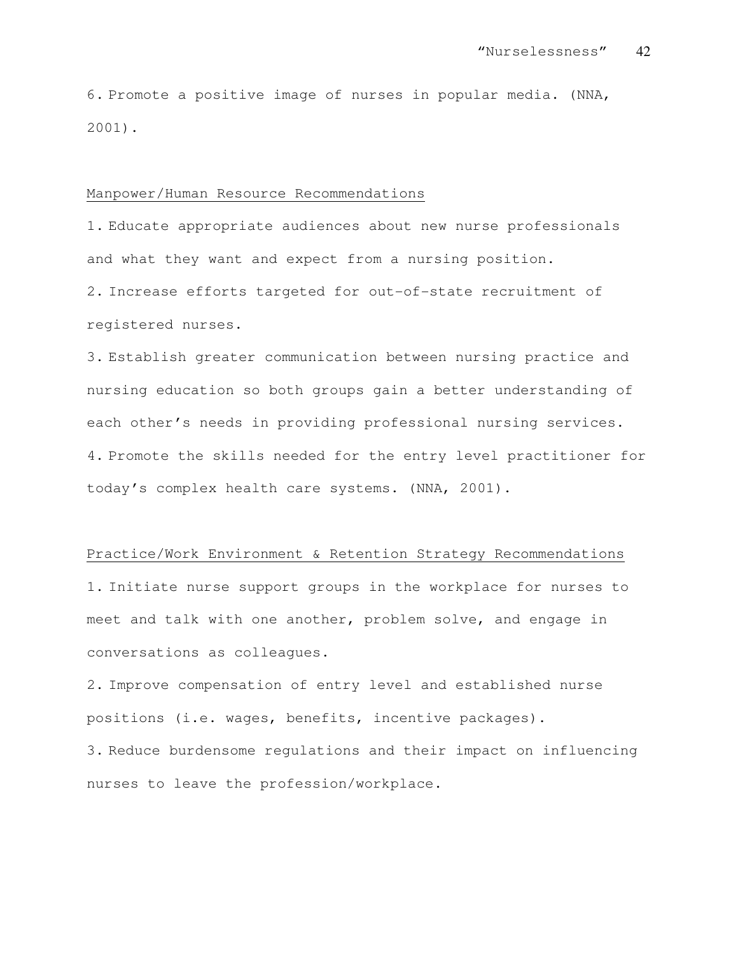6. Promote a positive image of nurses in popular media. (NNA, 2001).

#### Manpower/Human Resource Recommendations

1. Educate appropriate audiences about new nurse professionals and what they want and expect from a nursing position.

2. Increase efforts targeted for out-of-state recruitment of registered nurses.

3. Establish greater communication between nursing practice and nursing education so both groups gain a better understanding of each other's needs in providing professional nursing services. 4. Promote the skills needed for the entry level practitioner for today's complex health care systems. (NNA, 2001).

### Practice/Work Environment & Retention Strategy Recommendations

1. Initiate nurse support groups in the workplace for nurses to meet and talk with one another, problem solve, and engage in conversations as colleagues.

2. Improve compensation of entry level and established nurse positions (i.e. wages, benefits, incentive packages). 3. Reduce burdensome regulations and their impact on influencing nurses to leave the profession/workplace.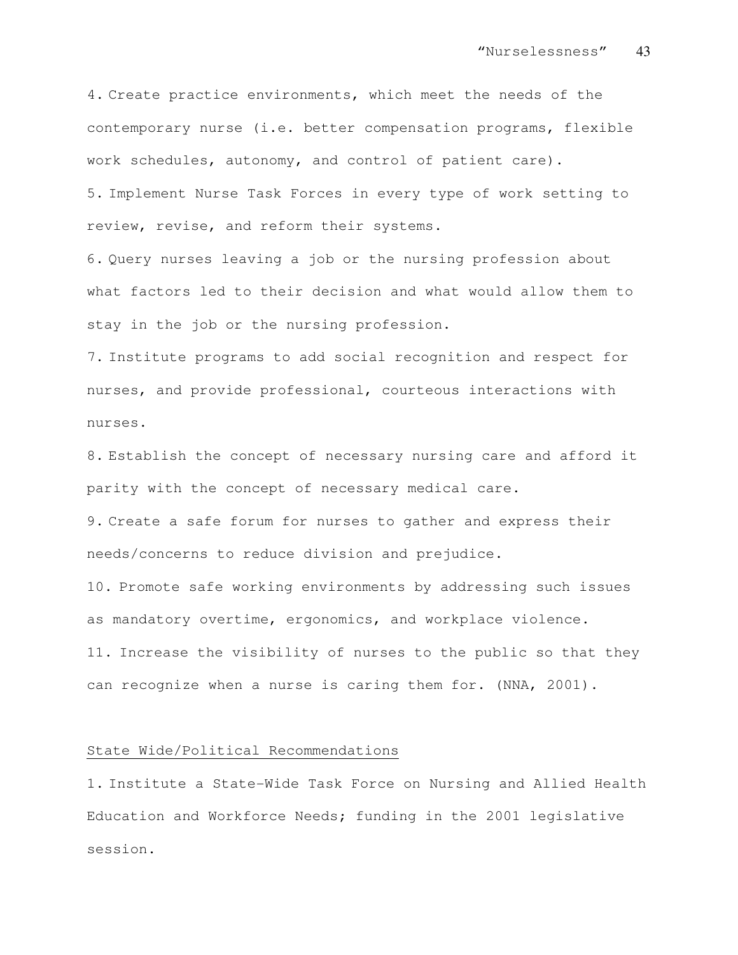4. Create practice environments, which meet the needs of the contemporary nurse (i.e. better compensation programs, flexible work schedules, autonomy, and control of patient care).

5. Implement Nurse Task Forces in every type of work setting to review, revise, and reform their systems.

6. Query nurses leaving a job or the nursing profession about what factors led to their decision and what would allow them to stay in the job or the nursing profession.

7. Institute programs to add social recognition and respect for nurses, and provide professional, courteous interactions with nurses.

8. Establish the concept of necessary nursing care and afford it parity with the concept of necessary medical care.

9. Create a safe forum for nurses to gather and express their needs/concerns to reduce division and prejudice.

10. Promote safe working environments by addressing such issues as mandatory overtime, ergonomics, and workplace violence. 11. Increase the visibility of nurses to the public so that they can recognize when a nurse is caring them for. (NNA, 2001).

#### State Wide/Political Recommendations

1. Institute a State-Wide Task Force on Nursing and Allied Health Education and Workforce Needs; funding in the 2001 legislative session.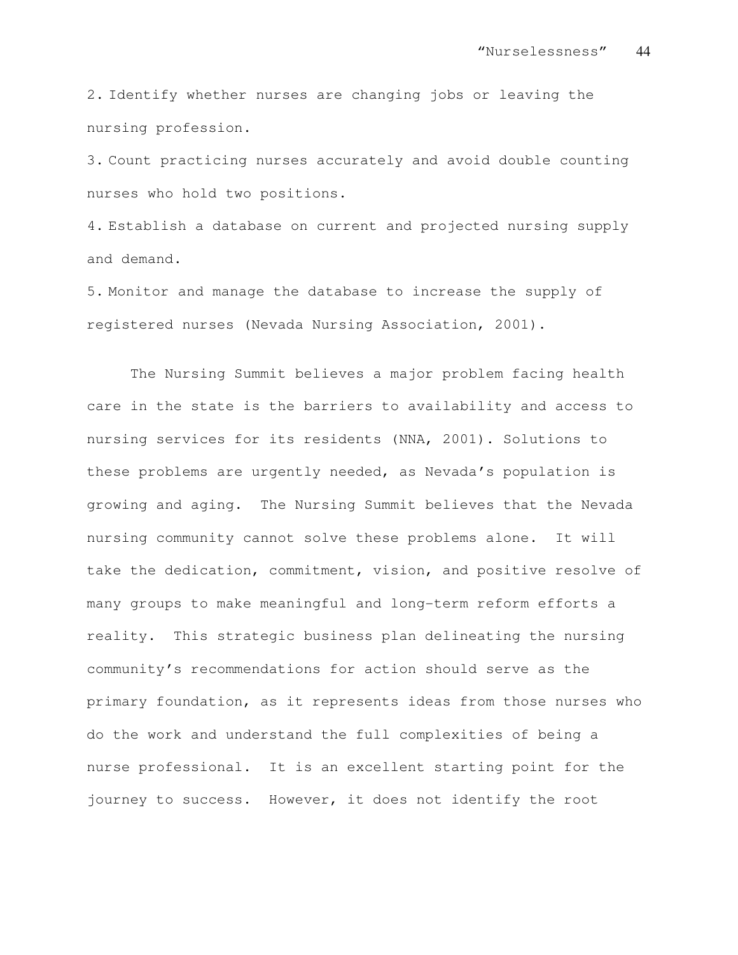2. Identify whether nurses are changing jobs or leaving the nursing profession.

3. Count practicing nurses accurately and avoid double counting nurses who hold two positions.

4. Establish a database on current and projected nursing supply and demand.

5. Monitor and manage the database to increase the supply of registered nurses (Nevada Nursing Association, 2001).

The Nursing Summit believes a major problem facing health care in the state is the barriers to availability and access to nursing services for its residents (NNA, 2001). Solutions to these problems are urgently needed, as Nevada's population is growing and aging. The Nursing Summit believes that the Nevada nursing community cannot solve these problems alone. It will take the dedication, commitment, vision, and positive resolve of many groups to make meaningful and long-term reform efforts a reality. This strategic business plan delineating the nursing community's recommendations for action should serve as the primary foundation, as it represents ideas from those nurses who do the work and understand the full complexities of being a nurse professional. It is an excellent starting point for the journey to success. However, it does not identify the root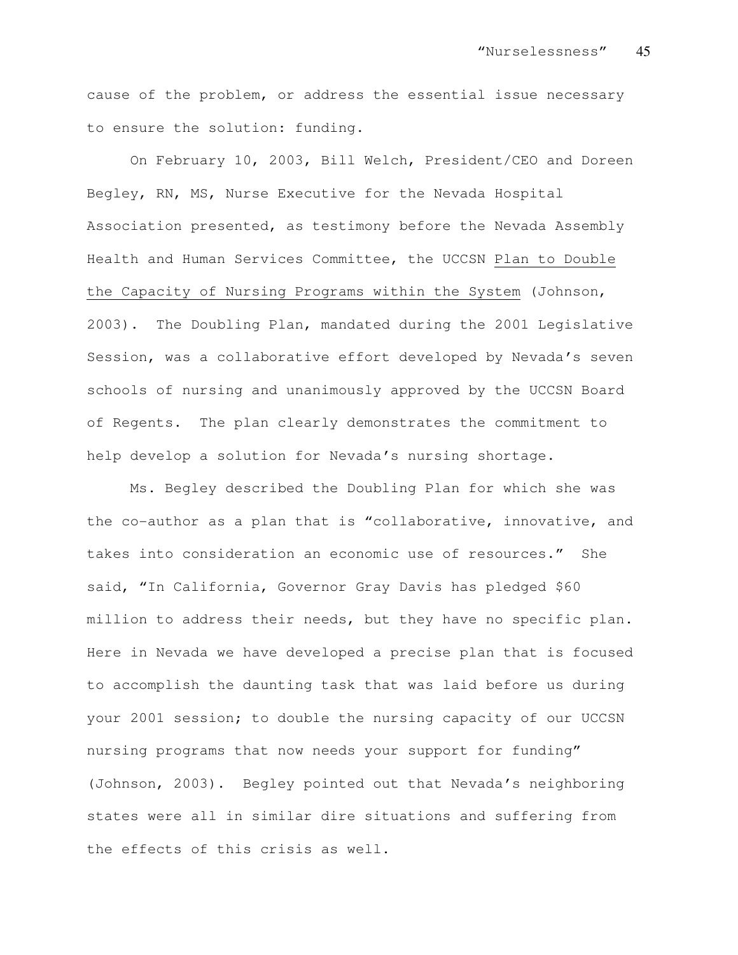cause of the problem, or address the essential issue necessary to ensure the solution: funding.

On February 10, 2003, Bill Welch, President/CEO and Doreen Begley, RN, MS, Nurse Executive for the Nevada Hospital Association presented, as testimony before the Nevada Assembly Health and Human Services Committee, the UCCSN Plan to Double the Capacity of Nursing Programs within the System (Johnson, 2003). The Doubling Plan, mandated during the 2001 Legislative Session, was a collaborative effort developed by Nevada's seven schools of nursing and unanimously approved by the UCCSN Board of Regents. The plan clearly demonstrates the commitment to help develop a solution for Nevada's nursing shortage.

Ms. Begley described the Doubling Plan for which she was the co-author as a plan that is "collaborative, innovative, and takes into consideration an economic use of resources." She said, "In California, Governor Gray Davis has pledged \$60 million to address their needs, but they have no specific plan. Here in Nevada we have developed a precise plan that is focused to accomplish the daunting task that was laid before us during your 2001 session; to double the nursing capacity of our UCCSN nursing programs that now needs your support for funding" (Johnson, 2003). Begley pointed out that Nevada's neighboring states were all in similar dire situations and suffering from the effects of this crisis as well.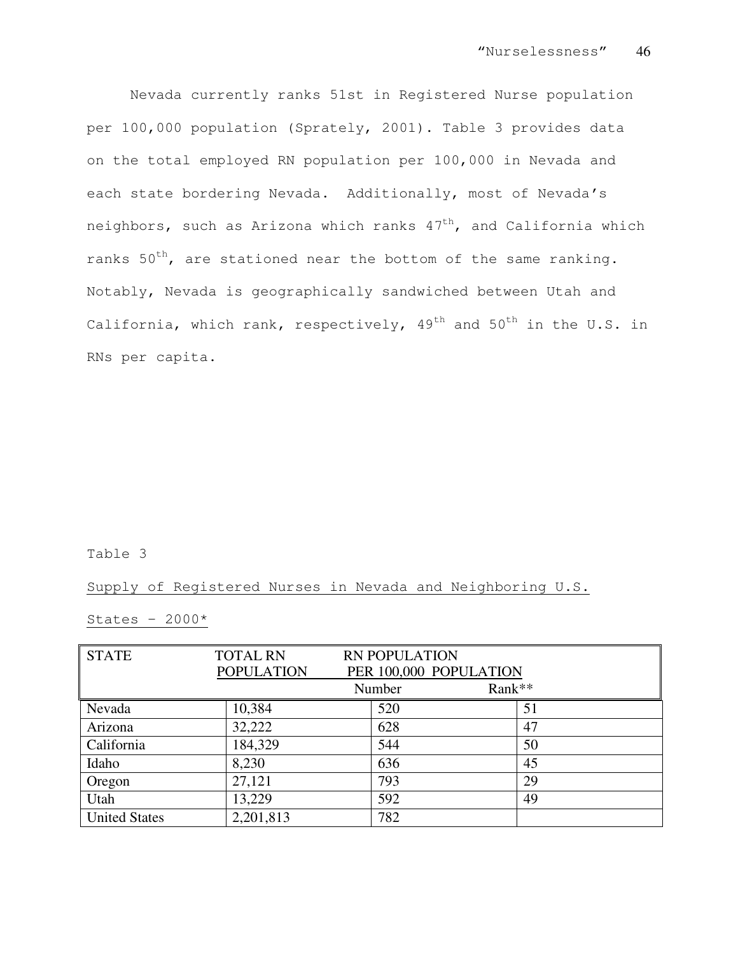Nevada currently ranks 51st in Registered Nurse population per 100,000 population (Sprately, 2001). Table 3 provides data on the total employed RN population per 100,000 in Nevada and each state bordering Nevada. Additionally, most of Nevada's neighbors, such as Arizona which ranks  $47<sup>th</sup>$ , and California which ranks  $50^{th}$ , are stationed near the bottom of the same ranking. Notably, Nevada is geographically sandwiched between Utah and California, which rank, respectively,  $49<sup>th</sup>$  and  $50<sup>th</sup>$  in the U.S. in RNs per capita.

### Table 3

Supply of Registered Nurses in Nevada and Neighboring U.S.

# States -  $2000*$

| <b>STATE</b>         | <b>TOTAL RN</b>   |                        | <b>RN POPULATION</b> |        |    |
|----------------------|-------------------|------------------------|----------------------|--------|----|
|                      | <b>POPULATION</b> | PER 100,000 POPULATION |                      |        |    |
|                      |                   |                        | Number               | Rank** |    |
| Nevada               | 10,384            |                        | 520                  |        | 51 |
| Arizona              | 32,222            |                        | 628                  |        | 47 |
| California           | 184,329           |                        | 544                  |        | 50 |
| Idaho                | 8,230             |                        | 636                  |        | 45 |
| Oregon               | 27,121            |                        | 793                  |        | 29 |
| Utah                 | 13,229            |                        | 592                  |        | 49 |
| <b>United States</b> | 2,201,813         |                        | 782                  |        |    |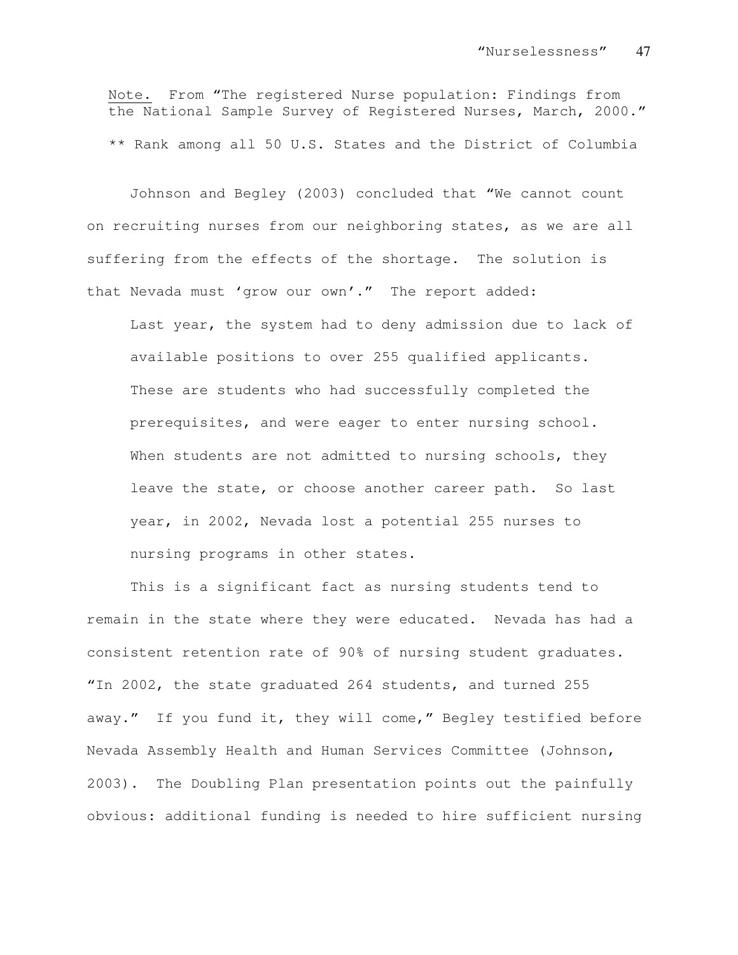Note. From "The registered Nurse population: Findings from the National Sample Survey of Registered Nurses, March, 2000." \*\* Rank among all 50 U.S. States and the District of Columbia

Johnson and Begley (2003) concluded that "We cannot count on recruiting nurses from our neighboring states, as we are all suffering from the effects of the shortage. The solution is that Nevada must 'grow our own'." The report added:

Last year, the system had to deny admission due to lack of available positions to over 255 qualified applicants. These are students who had successfully completed the prerequisites, and were eager to enter nursing school. When students are not admitted to nursing schools, they leave the state, or choose another career path. So last year, in 2002, Nevada lost a potential 255 nurses to nursing programs in other states.

This is a significant fact as nursing students tend to remain in the state where they were educated. Nevada has had a consistent retention rate of 90% of nursing student graduates. "In 2002, the state graduated 264 students, and turned 255 away." If you fund it, they will come," Begley testified before Nevada Assembly Health and Human Services Committee (Johnson, 2003). The Doubling Plan presentation points out the painfully obvious: additional funding is needed to hire sufficient nursing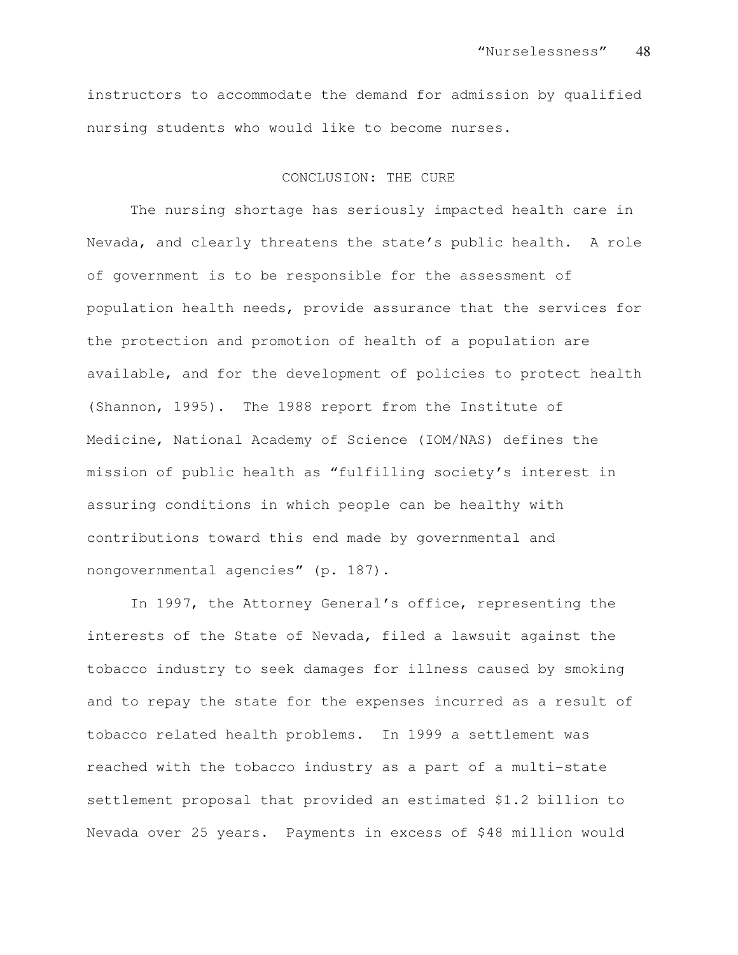instructors to accommodate the demand for admission by qualified nursing students who would like to become nurses.

#### CONCLUSION: THE CURE

The nursing shortage has seriously impacted health care in Nevada, and clearly threatens the state's public health. A role of government is to be responsible for the assessment of population health needs, provide assurance that the services for the protection and promotion of health of a population are available, and for the development of policies to protect health (Shannon, 1995). The 1988 report from the Institute of Medicine, National Academy of Science (IOM/NAS) defines the mission of public health as "fulfilling society's interest in assuring conditions in which people can be healthy with contributions toward this end made by governmental and nongovernmental agencies" (p. 187).

In 1997, the Attorney General's office, representing the interests of the State of Nevada, filed a lawsuit against the tobacco industry to seek damages for illness caused by smoking and to repay the state for the expenses incurred as a result of tobacco related health problems. In 1999 a settlement was reached with the tobacco industry as a part of a multi-state settlement proposal that provided an estimated \$1.2 billion to Nevada over 25 years. Payments in excess of \$48 million would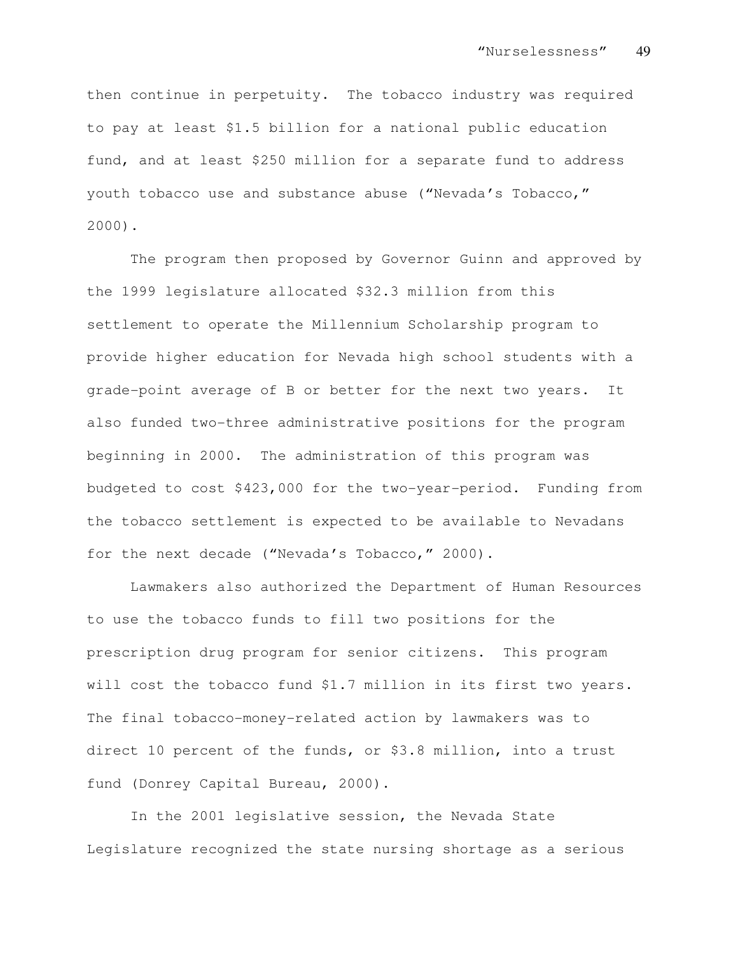then continue in perpetuity. The tobacco industry was required to pay at least \$1.5 billion for a national public education fund, and at least \$250 million for a separate fund to address youth tobacco use and substance abuse ("Nevada's Tobacco," 2000).

The program then proposed by Governor Guinn and approved by the 1999 legislature allocated \$32.3 million from this settlement to operate the Millennium Scholarship program to provide higher education for Nevada high school students with a grade-point average of B or better for the next two years. It also funded two-three administrative positions for the program beginning in 2000. The administration of this program was budgeted to cost \$423,000 for the two-year-period. Funding from the tobacco settlement is expected to be available to Nevadans for the next decade ("Nevada's Tobacco," 2000).

Lawmakers also authorized the Department of Human Resources to use the tobacco funds to fill two positions for the prescription drug program for senior citizens. This program will cost the tobacco fund \$1.7 million in its first two years. The final tobacco-money-related action by lawmakers was to direct 10 percent of the funds, or \$3.8 million, into a trust fund (Donrey Capital Bureau, 2000).

In the 2001 legislative session, the Nevada State Legislature recognized the state nursing shortage as a serious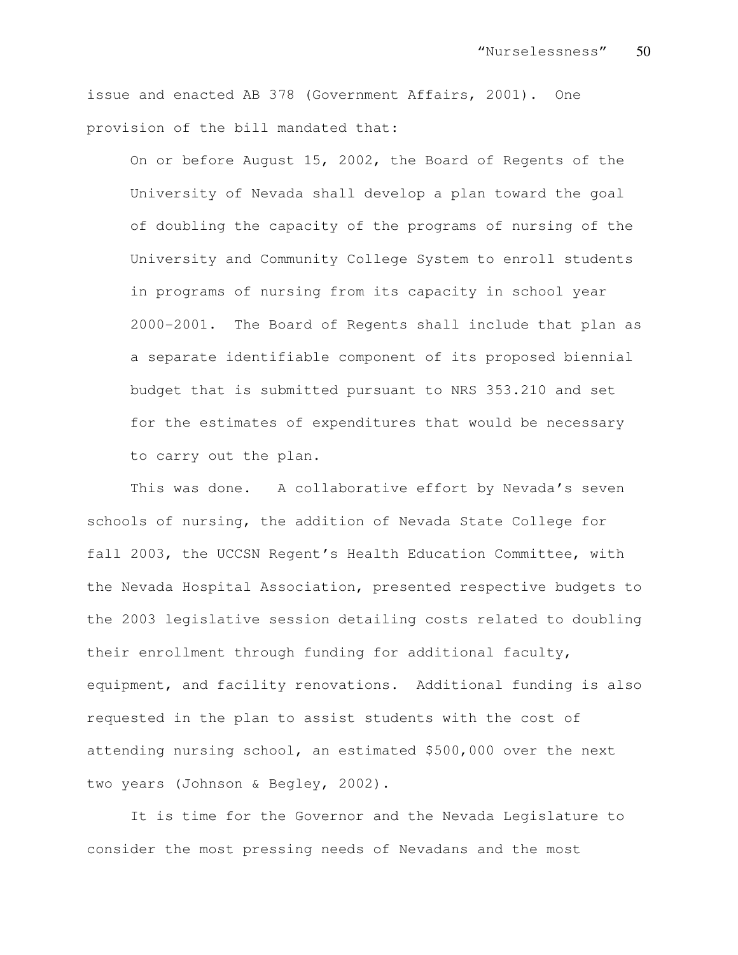issue and enacted AB 378 (Government Affairs, 2001). One provision of the bill mandated that:

On or before August 15, 2002, the Board of Regents of the University of Nevada shall develop a plan toward the goal of doubling the capacity of the programs of nursing of the University and Community College System to enroll students in programs of nursing from its capacity in school year 2000-2001. The Board of Regents shall include that plan as a separate identifiable component of its proposed biennial budget that is submitted pursuant to NRS 353.210 and set for the estimates of expenditures that would be necessary to carry out the plan.

This was done. A collaborative effort by Nevada's seven schools of nursing, the addition of Nevada State College for fall 2003, the UCCSN Regent's Health Education Committee, with the Nevada Hospital Association, presented respective budgets to the 2003 legislative session detailing costs related to doubling their enrollment through funding for additional faculty, equipment, and facility renovations. Additional funding is also requested in the plan to assist students with the cost of attending nursing school, an estimated \$500,000 over the next two years (Johnson & Begley, 2002).

It is time for the Governor and the Nevada Legislature to consider the most pressing needs of Nevadans and the most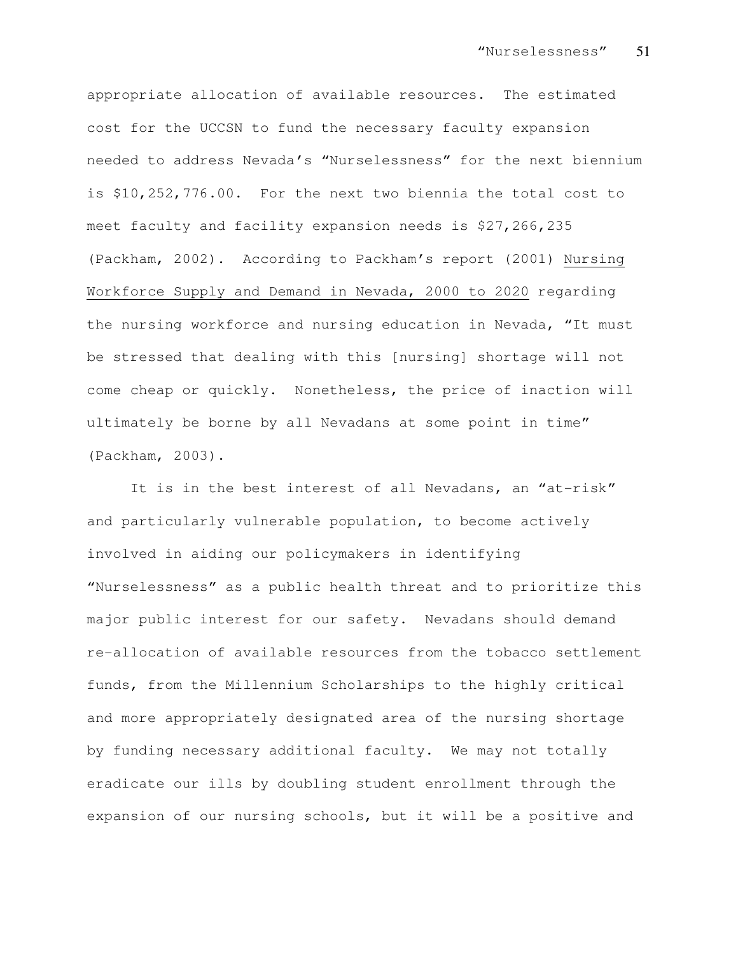appropriate allocation of available resources. The estimated cost for the UCCSN to fund the necessary faculty expansion needed to address Nevada's "Nurselessness" for the next biennium is \$10,252,776.00. For the next two biennia the total cost to meet faculty and facility expansion needs is \$27,266,235 (Packham, 2002). According to Packham's report (2001) Nursing Workforce Supply and Demand in Nevada, 2000 to 2020 regarding the nursing workforce and nursing education in Nevada, "It must be stressed that dealing with this [nursing] shortage will not come cheap or quickly. Nonetheless, the price of inaction will ultimately be borne by all Nevadans at some point in time" (Packham, 2003).

It is in the best interest of all Nevadans, an "at-risk" and particularly vulnerable population, to become actively involved in aiding our policymakers in identifying "Nurselessness" as a public health threat and to prioritize this major public interest for our safety. Nevadans should demand re-allocation of available resources from the tobacco settlement funds, from the Millennium Scholarships to the highly critical and more appropriately designated area of the nursing shortage by funding necessary additional faculty. We may not totally eradicate our ills by doubling student enrollment through the expansion of our nursing schools, but it will be a positive and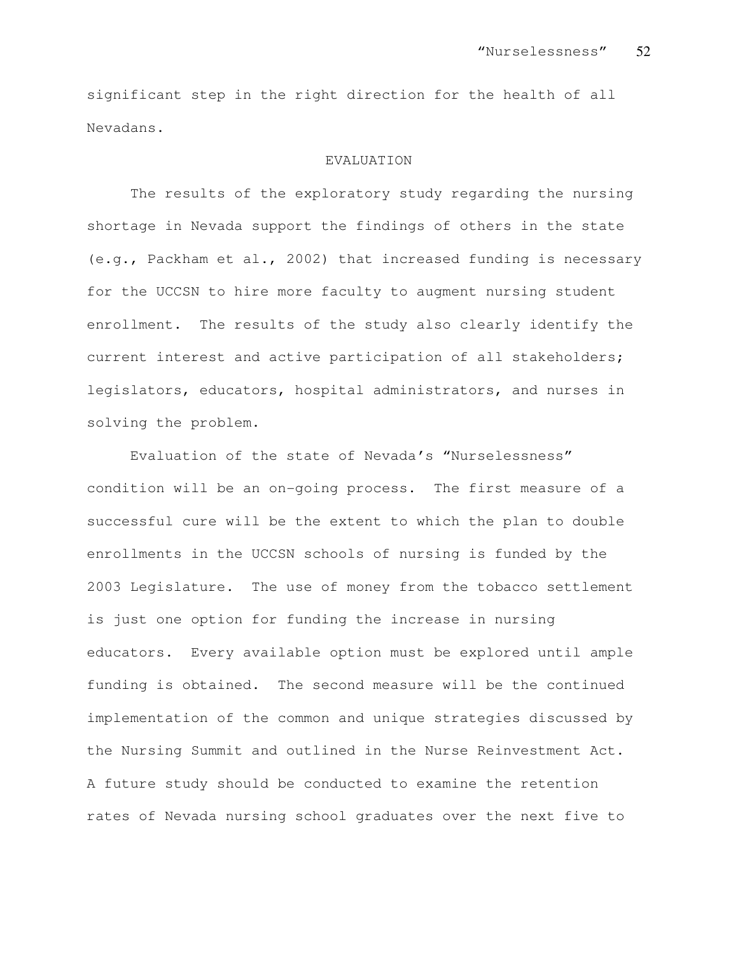significant step in the right direction for the health of all Nevadans.

#### EVALUATION

The results of the exploratory study regarding the nursing shortage in Nevada support the findings of others in the state (e.g., Packham et al., 2002) that increased funding is necessary for the UCCSN to hire more faculty to augment nursing student enrollment. The results of the study also clearly identify the current interest and active participation of all stakeholders; legislators, educators, hospital administrators, and nurses in solving the problem.

Evaluation of the state of Nevada's "Nurselessness" condition will be an on-going process. The first measure of a successful cure will be the extent to which the plan to double enrollments in the UCCSN schools of nursing is funded by the 2003 Legislature. The use of money from the tobacco settlement is just one option for funding the increase in nursing educators. Every available option must be explored until ample funding is obtained. The second measure will be the continued implementation of the common and unique strategies discussed by the Nursing Summit and outlined in the Nurse Reinvestment Act. A future study should be conducted to examine the retention rates of Nevada nursing school graduates over the next five to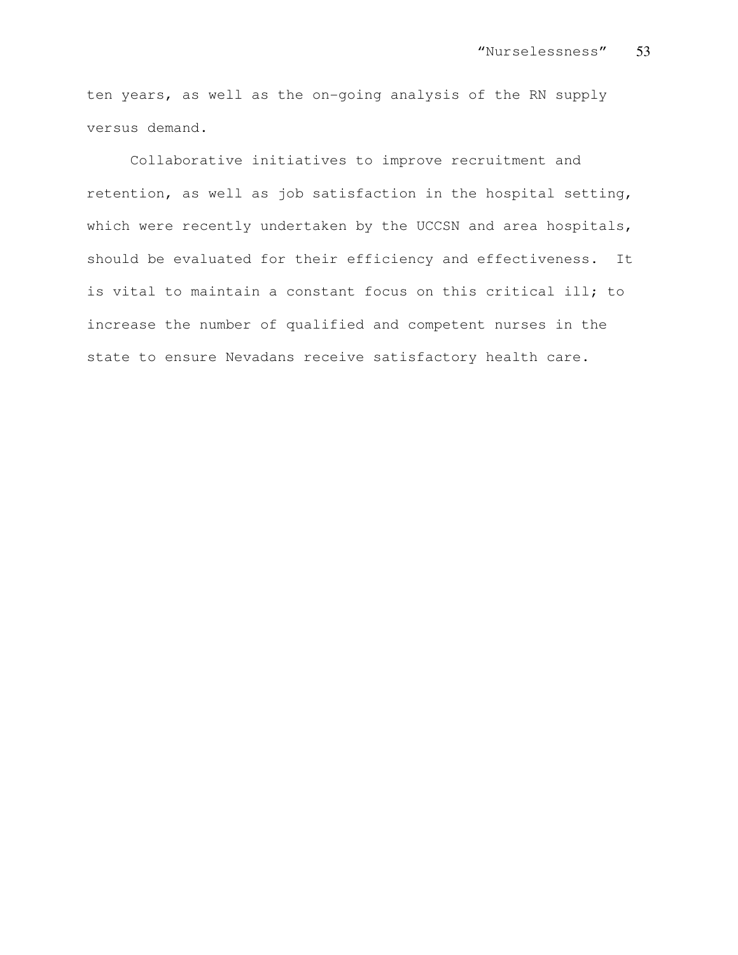ten years, as well as the on-going analysis of the RN supply versus demand.

Collaborative initiatives to improve recruitment and retention, as well as job satisfaction in the hospital setting, which were recently undertaken by the UCCSN and area hospitals, should be evaluated for their efficiency and effectiveness. It is vital to maintain a constant focus on this critical ill; to increase the number of qualified and competent nurses in the state to ensure Nevadans receive satisfactory health care.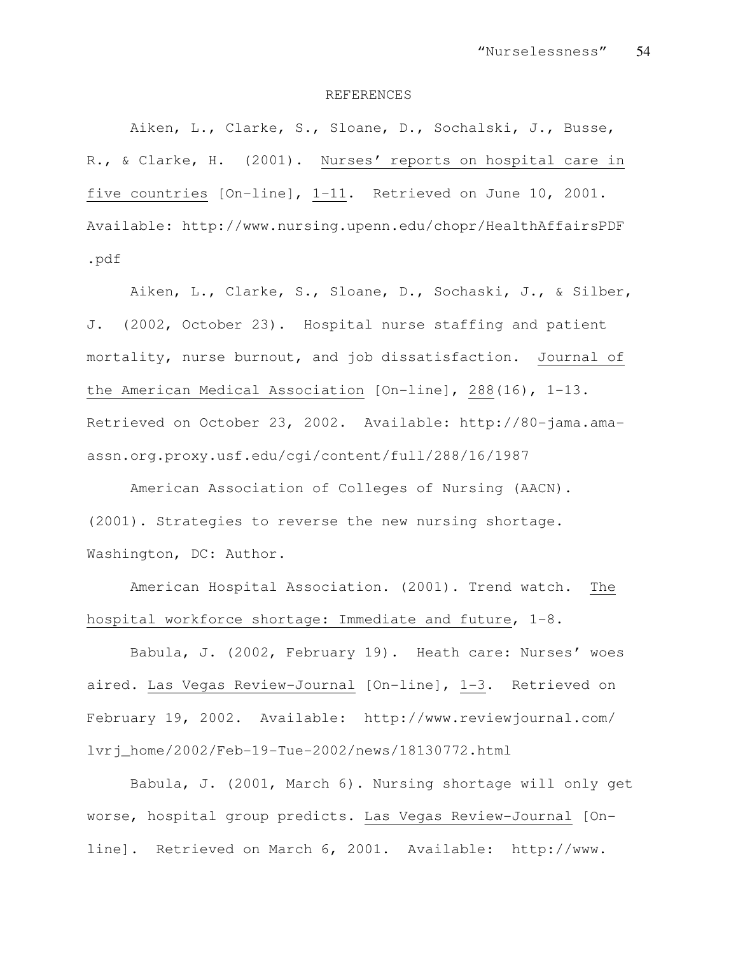#### REFERENCES

Aiken, L., Clarke, S., Sloane, D., Sochalski, J., Busse, R., & Clarke, H. (2001). Nurses' reports on hospital care in five countries [On-line], 1-11. Retrieved on June 10, 2001. Available: http://www.nursing.upenn.edu/chopr/HealthAffairsPDF .pdf

Aiken, L., Clarke, S., Sloane, D., Sochaski, J., & Silber, J. (2002, October 23). Hospital nurse staffing and patient mortality, nurse burnout, and job dissatisfaction. Journal of the American Medical Association [On-line], 288(16), 1-13. Retrieved on October 23, 2002. Available: http://80-jama.amaassn.org.proxy.usf.edu/cgi/content/full/288/16/1987

American Association of Colleges of Nursing (AACN). (2001). Strategies to reverse the new nursing shortage. Washington, DC: Author.

American Hospital Association. (2001). Trend watch. The hospital workforce shortage: Immediate and future, 1-8.

Babula, J. (2002, February 19). Heath care: Nurses' woes aired. Las Vegas Review-Journal [On-line], 1-3. Retrieved on February 19, 2002. Available: http://www.reviewjournal.com/ lvrj\_home/2002/Feb-19-Tue-2002/news/18130772.html

Babula, J. (2001, March 6). Nursing shortage will only get worse, hospital group predicts. Las Vegas Review-Journal [Online]. Retrieved on March 6, 2001. Available: http://www.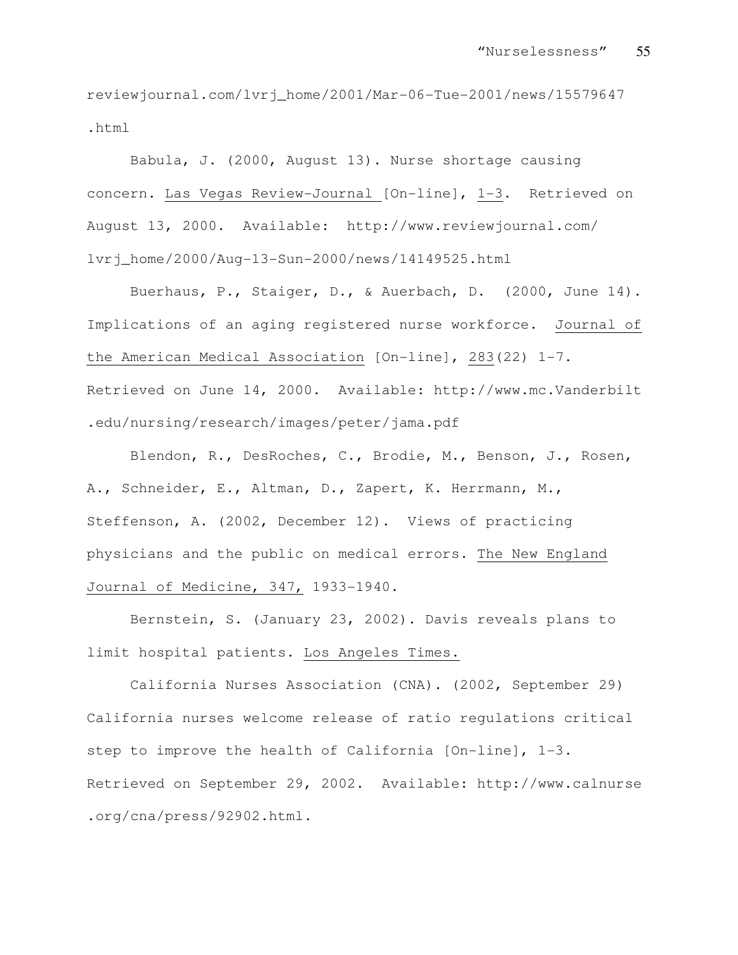reviewjournal.com/lvrj\_home/2001/Mar-06-Tue-2001/news/15579647 .html

Babula, J. (2000, August 13). Nurse shortage causing concern. Las Vegas Review-Journal [On-line], 1-3. Retrieved on August 13, 2000. Available: http://www.reviewjournal.com/ lvrj\_home/2000/Aug-13-Sun-2000/news/14149525.html

Buerhaus, P., Staiger, D., & Auerbach, D. (2000, June 14). Implications of an aging registered nurse workforce. Journal of the American Medical Association [On-line], 283(22) 1-7. Retrieved on June 14, 2000. Available: http://www.mc.Vanderbilt .edu/nursing/research/images/peter/jama.pdf

Blendon, R., DesRoches, C., Brodie, M., Benson, J., Rosen, A., Schneider, E., Altman, D., Zapert, K. Herrmann, M., Steffenson, A. (2002, December 12). Views of practicing physicians and the public on medical errors. The New England Journal of Medicine, 347, 1933-1940.

Bernstein, S. (January 23, 2002). Davis reveals plans to limit hospital patients. Los Angeles Times.

California Nurses Association (CNA). (2002, September 29) California nurses welcome release of ratio regulations critical step to improve the health of California [On-line], 1-3. Retrieved on September 29, 2002. Available: http://www.calnurse .org/cna/press/92902.html.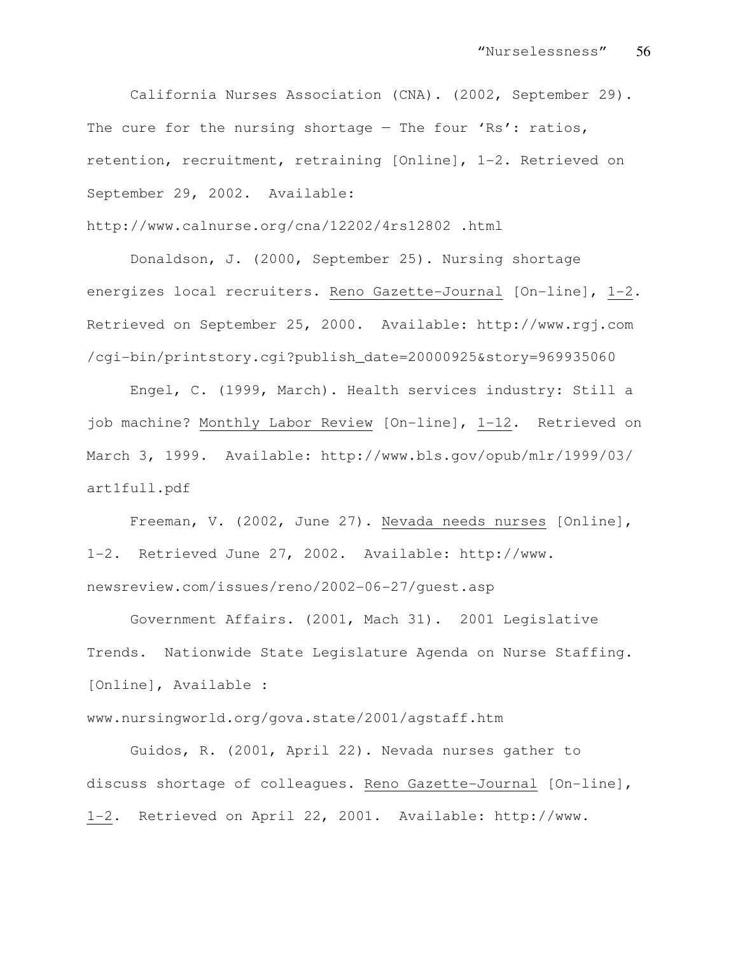California Nurses Association (CNA). (2002, September 29). The cure for the nursing shortage - The four 'Rs': ratios, retention, recruitment, retraining [Online], 1-2. Retrieved on September 29, 2002. Available:

http://www.calnurse.org/cna/12202/4rs12802 .html

Donaldson, J. (2000, September 25). Nursing shortage energizes local recruiters. Reno Gazette-Journal [On-line], 1-2. Retrieved on September 25, 2000. Available: http://www.rgj.com /cgi-bin/printstory.cgi?publish\_date=20000925&story=969935060

Engel, C. (1999, March). Health services industry: Still a job machine? Monthly Labor Review [On-line], 1-12. Retrieved on March 3, 1999. Available: http://www.bls.gov/opub/mlr/1999/03/ art1full.pdf

Freeman, V. (2002, June 27). Nevada needs nurses [Online], 1-2. Retrieved June 27, 2002. Available: http://www. newsreview.com/issues/reno/2002-06-27/guest.asp

Government Affairs. (2001, Mach 31). 2001 Legislative Trends. Nationwide State Legislature Agenda on Nurse Staffing. [Online], Available :

www.nursingworld.org/gova.state/2001/agstaff.htm

Guidos, R. (2001, April 22). Nevada nurses gather to discuss shortage of colleagues. Reno Gazette-Journal [On-line], 1-2. Retrieved on April 22, 2001. Available: http://www.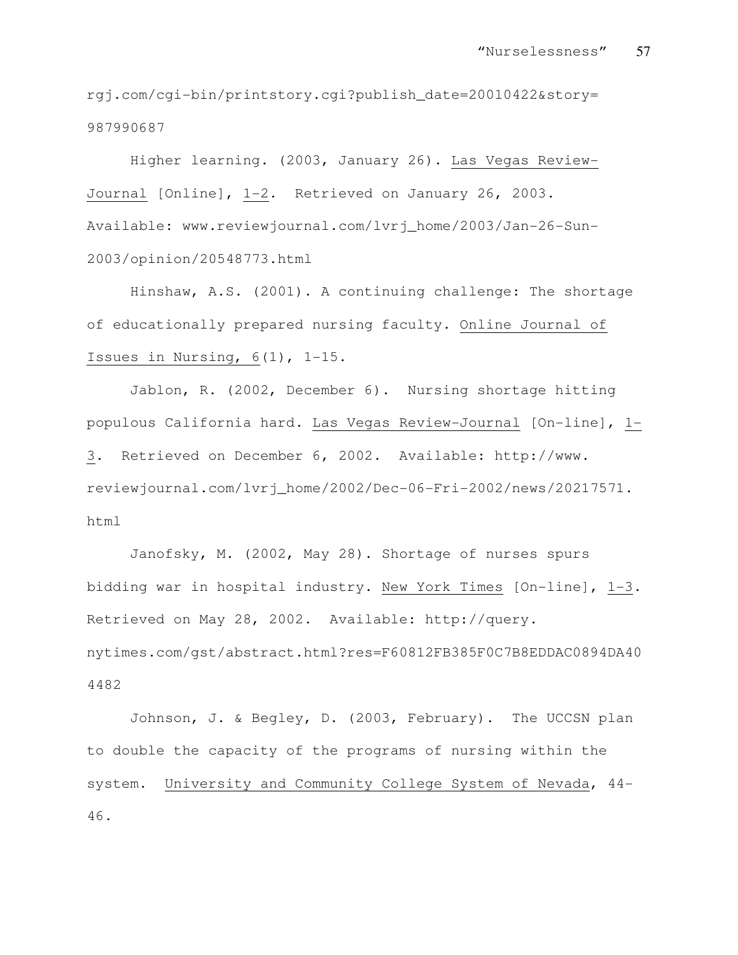rgj.com/cgi-bin/printstory.cgi?publish\_date=20010422&story= 987990687

Higher learning. (2003, January 26). Las Vegas Review-Journal [Online], 1-2. Retrieved on January 26, 2003. Available: www.reviewjournal.com/lvrj\_home/2003/Jan-26-Sun-2003/opinion/20548773.html

Hinshaw, A.S. (2001). A continuing challenge: The shortage of educationally prepared nursing faculty. Online Journal of Issues in Nursing, 6(1), 1-15.

Jablon, R. (2002, December 6). Nursing shortage hitting populous California hard. Las Vegas Review-Journal [On-line], 1- 3. Retrieved on December 6, 2002. Available: http://www. reviewjournal.com/lvrj\_home/2002/Dec-06-Fri-2002/news/20217571. html

Janofsky, M. (2002, May 28). Shortage of nurses spurs bidding war in hospital industry. New York Times [On-line], 1-3. Retrieved on May 28, 2002. Available: http://query. nytimes.com/gst/abstract.html?res=F60812FB385F0C7B8EDDAC0894DA40 4482

Johnson, J. & Begley, D. (2003, February). The UCCSN plan to double the capacity of the programs of nursing within the system. University and Community College System of Nevada, 44- 46.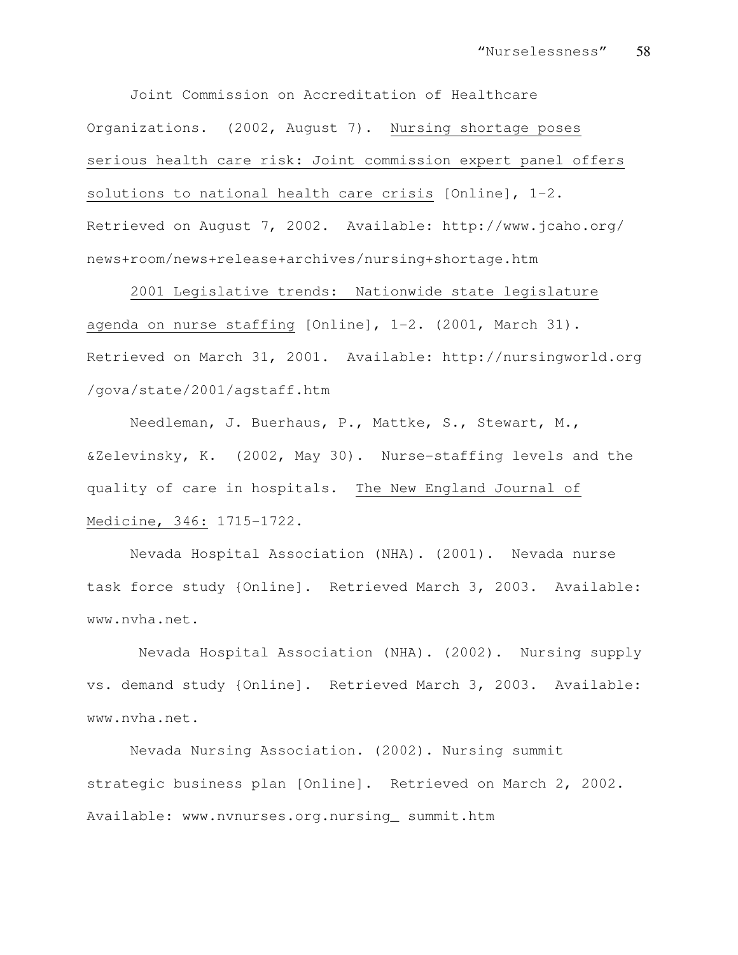Joint Commission on Accreditation of Healthcare Organizations. (2002, August 7). Nursing shortage poses serious health care risk: Joint commission expert panel offers solutions to national health care crisis [Online],  $1-2$ . Retrieved on August 7, 2002. Available: http://www.jcaho.org/ news+room/news+release+archives/nursing+shortage.htm

2001 Legislative trends: Nationwide state legislature agenda on nurse staffing [Online], 1-2. (2001, March 31). Retrieved on March 31, 2001. Available: http://nursingworld.org /gova/state/2001/agstaff.htm

Needleman, J. Buerhaus, P., Mattke, S., Stewart, M., &Zelevinsky, K. (2002, May 30). Nurse-staffing levels and the quality of care in hospitals. The New England Journal of Medicine, 346: 1715-1722.

Nevada Hospital Association (NHA). (2001). Nevada nurse task force study {Online]. Retrieved March 3, 2003. Available: www.nvha.net.

 Nevada Hospital Association (NHA). (2002). Nursing supply vs. demand study {Online]. Retrieved March 3, 2003. Available: www.nvha.net.

Nevada Nursing Association. (2002). Nursing summit strategic business plan [Online]. Retrieved on March 2, 2002. Available: www.nvnurses.org.nursing\_ summit.htm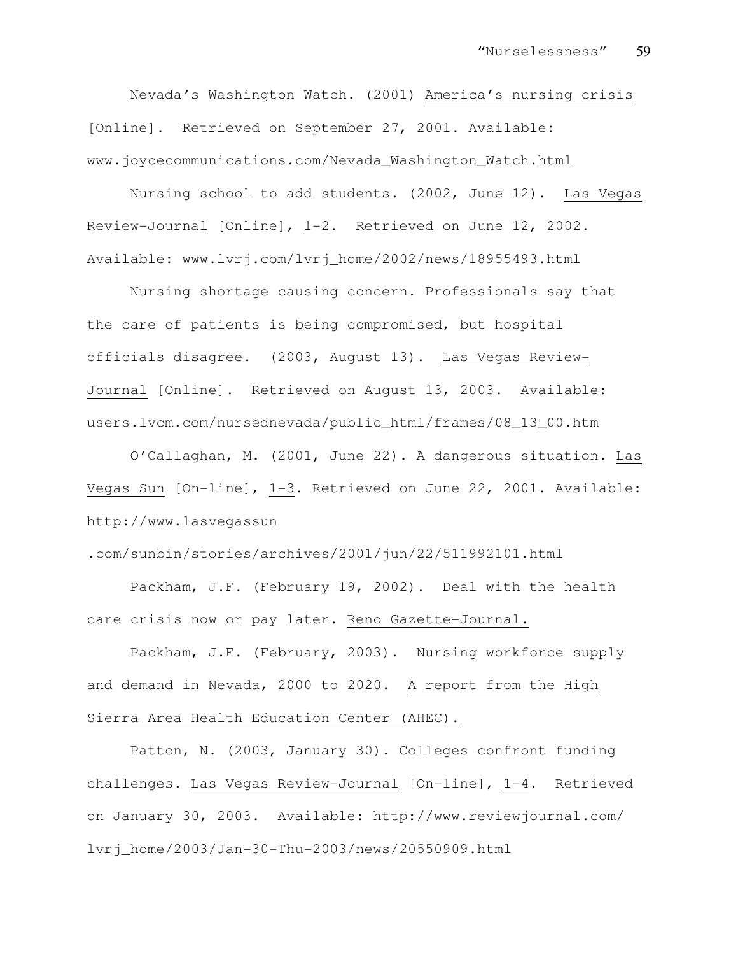Nevada's Washington Watch. (2001) America's nursing crisis [Online]. Retrieved on September 27, 2001. Available: www.joycecommunications.com/Nevada\_Washington\_Watch.html

Nursing school to add students. (2002, June 12). Las Vegas Review-Journal [Online], 1-2. Retrieved on June 12, 2002. Available: www.lvrj.com/lvrj\_home/2002/news/18955493.html

Nursing shortage causing concern. Professionals say that the care of patients is being compromised, but hospital officials disagree. (2003, August 13). Las Vegas Review-Journal [Online]. Retrieved on August 13, 2003. Available: users.lvcm.com/nursednevada/public\_html/frames/08\_13\_00.htm

O'Callaghan, M. (2001, June 22). A dangerous situation. Las Vegas Sun [On-line], 1-3. Retrieved on June 22, 2001. Available: http://www.lasvegassun

.com/sunbin/stories/archives/2001/jun/22/511992101.html

Packham, J.F. (February 19, 2002). Deal with the health care crisis now or pay later. Reno Gazette-Journal.

Packham, J.F. (February, 2003). Nursing workforce supply and demand in Nevada, 2000 to 2020. A report from the High Sierra Area Health Education Center (AHEC).

Patton, N. (2003, January 30). Colleges confront funding challenges. Las Vegas Review-Journal [On-line], 1-4. Retrieved on January 30, 2003. Available: http://www.reviewjournal.com/ lvrj\_home/2003/Jan-30-Thu-2003/news/20550909.html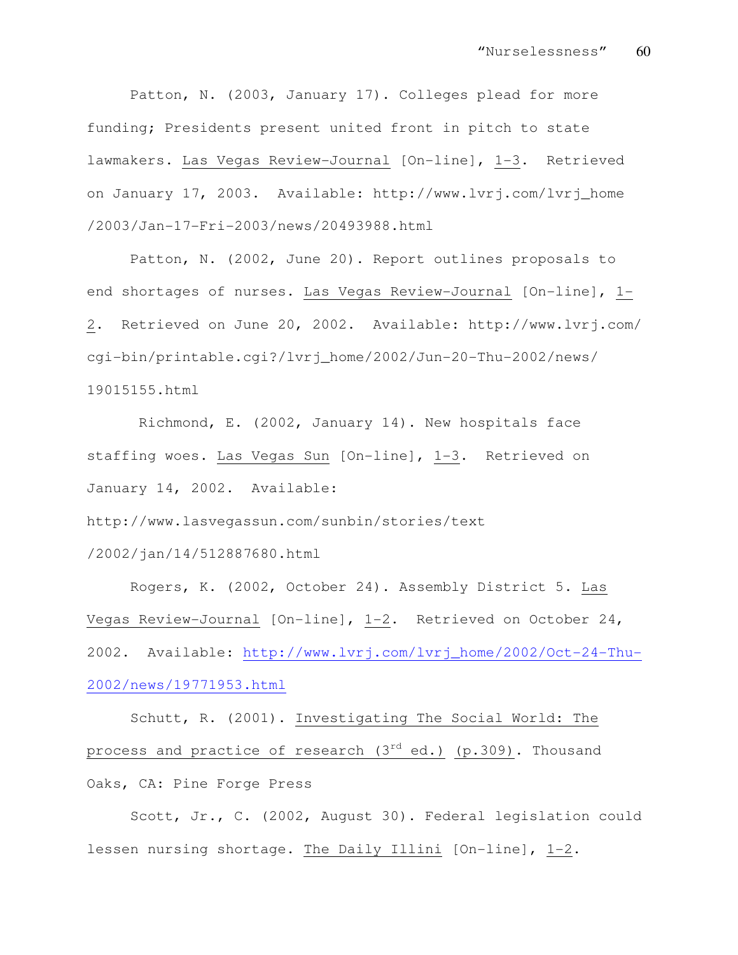Patton, N. (2003, January 17). Colleges plead for more funding; Presidents present united front in pitch to state lawmakers. Las Vegas Review-Journal [On-line], 1-3. Retrieved on January 17, 2003. Available: http://www.lvrj.com/lvrj\_home /2003/Jan-17-Fri-2003/news/20493988.html

Patton, N. (2002, June 20). Report outlines proposals to end shortages of nurses. Las Vegas Review-Journal [On-line], 1- 2. Retrieved on June 20, 2002. Available: http://www.lvrj.com/ cgi-bin/printable.cgi?/lvrj\_home/2002/Jun-20-Thu-2002/news/ 19015155.html

 Richmond, E. (2002, January 14). New hospitals face staffing woes. Las Vegas Sun [On-line], 1-3. Retrieved on January 14, 2002. Available:

http://www.lasvegassun.com/sunbin/stories/text

/2002/jan/14/512887680.html

Rogers, K. (2002, October 24). Assembly District 5. Las Vegas Review-Journal [On-line], 1-2. Retrieved on October 24, 2002. Available: http://www.lvrj.com/lvrj\_home/2002/Oct-24-Thu-2002/news/19771953.html

Schutt, R. (2001). Investigating The Social World: The process and practice of research (3<sup>rd</sup> ed.) (p.309). Thousand Oaks, CA: Pine Forge Press

Scott, Jr., C. (2002, August 30). Federal legislation could lessen nursing shortage. The Daily Illini [On-line], 1-2.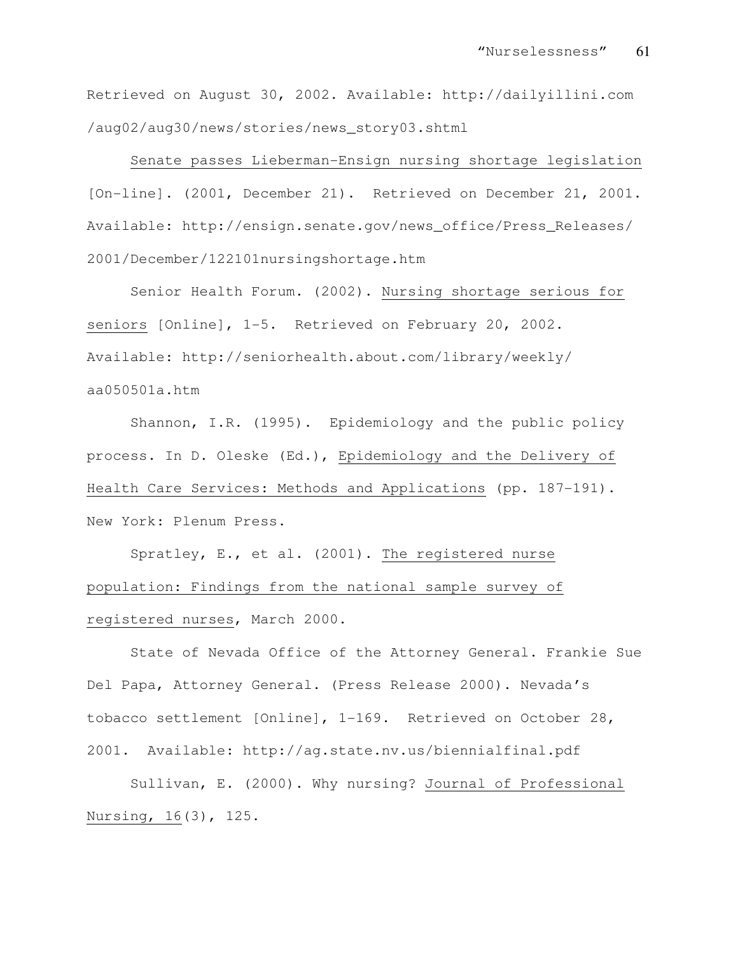Retrieved on August 30, 2002. Available: http://dailyillini.com /aug02/aug30/news/stories/news\_story03.shtml

Senate passes Lieberman-Ensign nursing shortage legislation [On-line]. (2001, December 21). Retrieved on December 21, 2001. Available: http://ensign.senate.gov/news\_office/Press\_Releases/ 2001/December/122101nursingshortage.htm

Senior Health Forum. (2002). Nursing shortage serious for seniors [Online], 1-5. Retrieved on February 20, 2002. Available: http://seniorhealth.about.com/library/weekly/ aa050501a.htm

Shannon, I.R. (1995). Epidemiology and the public policy process. In D. Oleske (Ed.), Epidemiology and the Delivery of Health Care Services: Methods and Applications (pp. 187-191). New York: Plenum Press.

Spratley, E., et al. (2001). The registered nurse population: Findings from the national sample survey of registered nurses, March 2000.

State of Nevada Office of the Attorney General. Frankie Sue Del Papa, Attorney General. (Press Release 2000). Nevada's tobacco settlement [Online], 1-169. Retrieved on October 28, 2001. Available: http://ag.state.nv.us/biennialfinal.pdf

Sullivan, E. (2000). Why nursing? Journal of Professional Nursing, 16(3), 125.